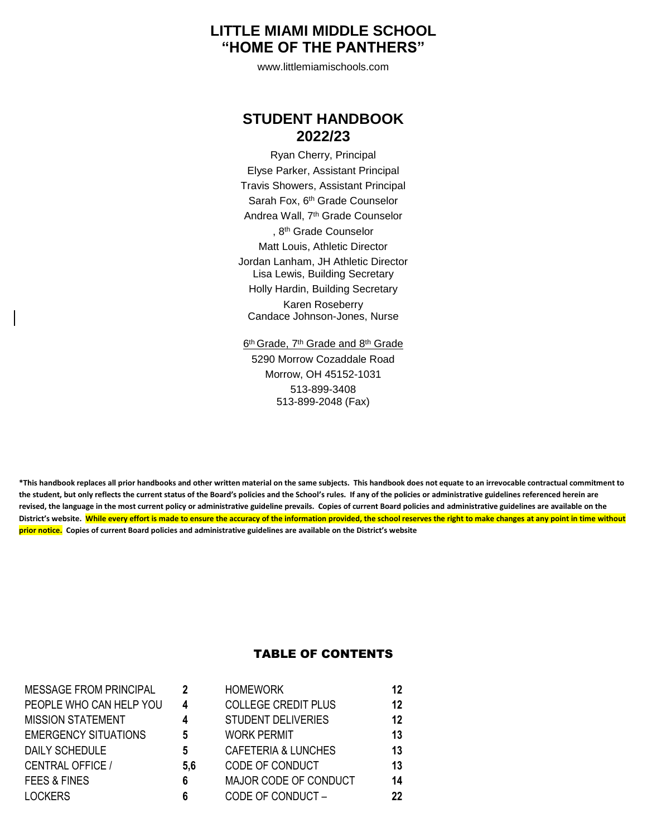# **LITTLE MIAMI MIDDLE SCHOOL "HOME OF THE PANTHERS"**

www.littlemiamischools.com

# **STUDENT HANDBOOK 2022/23**

Ryan Cherry, Principal Elyse Parker, Assistant Principal Travis Showers, Assistant Principal Sarah Fox, 6th Grade Counselor Andrea Wall, 7<sup>th</sup> Grade Counselor , 8 th Grade Counselor Matt Louis, Athletic Director Jordan Lanham, JH Athletic Director Lisa Lewis, Building Secretary Holly Hardin, Building Secretary Karen Roseberry Candace Johnson-Jones, Nurse

6<sup>th</sup> Grade, 7<sup>th</sup> Grade and 8<sup>th</sup> Grade 5290 Morrow Cozaddale Road Morrow, OH 45152-1031 513-899-3408 513-899-2048 (Fax)

**\*This handbook replaces all prior handbooks and other written material on the same subjects. This handbook does not equate to an irrevocable contractual commitment to the student, but only reflects the current status of the Board's policies and the School's rules. If any of the policies or administrative guidelines referenced herein are revised, the language in the most current policy or administrative guideline prevails. Copies of current Board policies and administrative guidelines are available on the** District's website. While every effort is made to ensure the accuracy of the information provided, the school reserves the right to make changes at any point in time without **prior notice. Copies of current Board policies and administrative guidelines are available on the District's website**

# TABLE OF CONTENTS

| <b>MESSAGE FROM PRINCIPAL</b> | 2   | <b>HOMEWORK</b>                | 12 |
|-------------------------------|-----|--------------------------------|----|
| PEOPLE WHO CAN HELP YOU       | 4   | <b>COLLEGE CREDIT PLUS</b>     | 12 |
| <b>MISSION STATEMENT</b>      | 4   | <b>STUDENT DELIVERIES</b>      | 12 |
| <b>EMERGENCY SITUATIONS</b>   | 5   | <b>WORK PERMIT</b>             | 13 |
| <b>DAILY SCHEDULE</b>         | 5   | <b>CAFETERIA &amp; LUNCHES</b> | 13 |
| <b>CENTRAL OFFICE /</b>       | 5,6 | CODE OF CONDUCT                | 13 |
| <b>FEES &amp; FINES</b>       | 6   | MAJOR CODE OF CONDUCT          | 14 |
| <b>LOCKERS</b>                | 6   | CODE OF CONDUCT-               | 22 |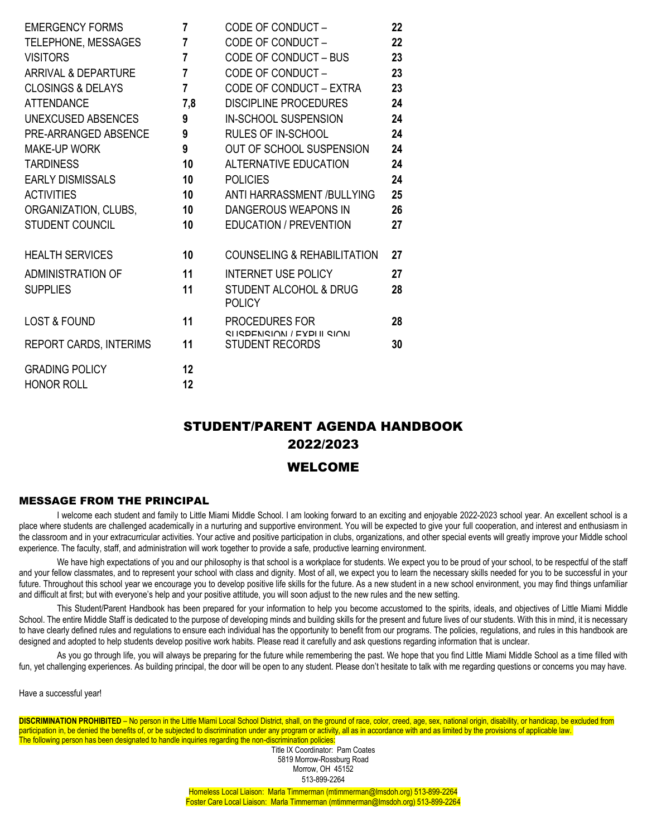| <b>EMERGENCY FORMS</b>         | 7              | CODE OF CONDUCT-                                   | 22 |
|--------------------------------|----------------|----------------------------------------------------|----|
| TELEPHONE, MESSAGES            | 7              | CODE OF CONDUCT-                                   | 22 |
| <b>VISITORS</b>                | 7              | CODE OF CONDUCT - BUS                              | 23 |
| <b>ARRIVAL &amp; DEPARTURE</b> | $\overline{7}$ | CODE OF CONDUCT-                                   | 23 |
| <b>CLOSINGS &amp; DELAYS</b>   | 7              | CODE OF CONDUCT - EXTRA                            | 23 |
| <b>ATTENDANCE</b>              | 7,8            | <b>DISCIPLINE PROCEDURES</b>                       | 24 |
| UNEXCUSED ABSENCES             | 9              | IN-SCHOOL SUSPENSION                               | 24 |
| PRE-ARRANGED ABSENCE           | 9              | <b>RULES OF IN-SCHOOL</b>                          | 24 |
| <b>MAKE-UP WORK</b>            | 9              | OUT OF SCHOOL SUSPENSION                           | 24 |
| <b>TARDINESS</b>               | 10             | <b>ALTERNATIVE EDUCATION</b>                       | 24 |
| <b>EARLY DISMISSALS</b>        | 10             | <b>POLICIES</b>                                    | 24 |
| <b>ACTIVITIES</b>              | 10             | ANTI HARRASSMENT /BULLYING                         | 25 |
| ORGANIZATION, CLUBS,           | 10             | DANGEROUS WEAPONS IN                               | 26 |
| <b>STUDENT COUNCIL</b>         | 10             | <b>EDUCATION / PREVENTION</b>                      | 27 |
| <b>HEALTH SERVICES</b>         | 10             | <b>COUNSELING &amp; REHABILITATION</b>             | 27 |
| ADMINISTRATION OF              | 11             | <b>INTERNET USE POLICY</b>                         | 27 |
| <b>SUPPLIES</b>                | 11             | <b>STUDENT ALCOHOL &amp; DRUG</b><br><b>POLICY</b> | 28 |
| <b>LOST &amp; FOUND</b>        | 11             | PROCEDURES FOR<br>SHOPENSION / EXPHILSION          | 28 |
| <b>REPORT CARDS, INTERIMS</b>  | 11             | <b>STUDENT RECORDS</b>                             | 30 |
| <b>GRADING POLICY</b>          | 12             |                                                    |    |

# STUDENT/PARENT AGENDA HANDBOOK 2022/2023

# WELCOME

# MESSAGE FROM THE PRINCIPAL

HONOR ROLL **12**

I welcome each student and family to Little Miami Middle School. I am looking forward to an exciting and enjoyable 2022-2023 school year. An excellent school is a place where students are challenged academically in a nurturing and supportive environment. You will be expected to give your full cooperation, and interest and enthusiasm in the classroom and in your extracurricular activities. Your active and positive participation in clubs, organizations, and other special events will greatly improve your Middle school experience. The faculty, staff, and administration will work together to provide a safe, productive learning environment.

We have high expectations of you and our philosophy is that school is a workplace for students. We expect you to be proud of your school, to be respectful of the staff and your fellow classmates, and to represent your school with class and dignity. Most of all, we expect you to learn the necessary skills needed for you to be successful in your future. Throughout this school year we encourage you to develop positive life skills for the future. As a new student in a new school environment, you may find things unfamiliar and difficult at first; but with everyone's help and your positive attitude, you will soon adjust to the new rules and the new setting.

This Student/Parent Handbook has been prepared for your information to help you become accustomed to the spirits, ideals, and objectives of Little Miami Middle School. The entire Middle Staff is dedicated to the purpose of developing minds and building skills for the present and future lives of our students. With this in mind, it is necessary to have clearly defined rules and regulations to ensure each individual has the opportunity to benefit from our programs. The policies, regulations, and rules in this handbook are designed and adopted to help students develop positive work habits. Please read it carefully and ask questions regarding information that is unclear.

As you go through life, you will always be preparing for the future while remembering the past. We hope that you find Little Miami Middle School as a time filled with fun, yet challenging experiences. As building principal, the door will be open to any student. Please don't hesitate to talk with me regarding questions or concerns you may have.

Have a successful year!

**DISCRIMINATION PROHIBITED** – No person in the Little Miami Local School District, shall, on the ground of race, color, creed, age, sex, national origin, disability, or handicap, be excluded from participation in, be denied the benefits of, or be subjected to discrimination under any program or activity, all as in accordance with and as limited by the provisions of applicable law. The following person has been designated to handle inquiries regarding the non-discrimination policies:

Title IX Coordinator: Pam Coates 5819 Morrow-Rossburg Road Morrow, OH 45152 513-899-2264

Homeless Local Liaison: Marla Timmerman (mtimmerman@lmsdoh.org) 513-899-2264 Foster Care Local Liaison: Marla Timmerman (mtimmerman@lmsdoh.org) 513-899-2264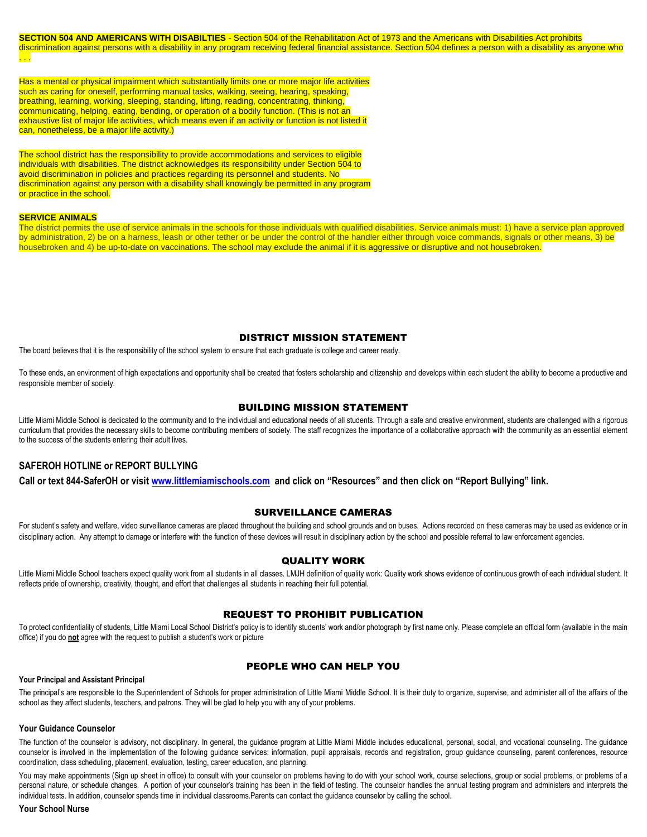**SECTION 504 AND AMERICANS WITH DISABILTIES** - Section 504 of the Rehabilitation Act of 1973 and the Americans with Disabilities Act prohibits discrimination against persons with a disability in any program receiving federal financial assistance. Section 504 defines a person with a disability as anyone who . . .

Has a mental or physical impairment which substantially limits one or more major life activities such as caring for oneself, performing manual tasks, walking, seeing, hearing, speaking, breathing, learning, working, sleeping, standing, lifting, reading, concentrating, thinking, communicating, helping, eating, bending, or operation of a bodily function. (This is not an exhaustive list of major life activities, which means even if an activity or function is not listed it can, nonetheless, be a major life activity.)

The school district has the responsibility to provide accommodations and services to eligible individuals with disabilities. The district acknowledges its responsibility under Section 504 to avoid discrimination in policies and practices regarding its personnel and students. No discrimination against any person with a disability shall knowingly be permitted in any program or practice in the school.

#### **SERVICE ANIMALS**

The district permits the use of service animals in the schools for those individuals with qualified disabilities. Service animals must: 1) have a service plan approved by administration, 2) be on a harness, leash or other tether or be under the control of the handler either through voice commands, signals or other means, 3) be housebroken and 4) be up-to-date on vaccinations. The school may exclude the animal if it is aggressive or disruptive and not housebroken.

# DISTRICT MISSION STATEMENT

The board believes that it is the responsibility of the school system to ensure that each graduate is college and career ready.

To these ends, an environment of high expectations and opportunity shall be created that fosters scholarship and citizenship and develops within each student the ability to become a productive and responsible member of society.

### BUILDING MISSION STATEMENT

Little Miami Middle School is dedicated to the community and to the individual and educational needs of all students. Through a safe and creative environment, students are challenged with a rigorous curriculum that provides the necessary skills to become contributing members of society. The staff recognizes the importance of a collaborative approach with the community as an essential element to the success of the students entering their adult lives.

# **SAFEROH HOTLINE or REPORT BULLYING**

**Call or text 844-SaferOH or visi[t www.littlemiamischools.com](http://www.littlemiamischools.com/) and click on "Resources" and then click on "Report Bullying" link.**

#### SURVEILLANCE CAMERAS

For student's safety and welfare, video surveillance cameras are placed throughout the building and school grounds and on buses. Actions recorded on these cameras may be used as evidence or in disciplinary action. Any attempt to damage or interfere with the function of these devices will result in disciplinary action by the school and possible referral to law enforcement agencies.

# QUALITY WORK

Little Miami Middle School teachers expect quality work from all students in all classes. LMJH definition of quality work: Quality work shows evidence of continuous growth of each individual student. It reflects pride of ownership, creativity, thought, and effort that challenges all students in reaching their full potential.

# REQUEST TO PROHIBIT PUBLICATION

To protect confidentiality of students, Little Miami Local School District's policy is to identify students' work and/or photograph by first name only. Please complete an official form (available in the main office) if you do **not** agree with the request to publish a student's work or picture

#### PEOPLE WHO CAN HELP YOU

#### **Your Principal and Assistant Principal**

The principal's are responsible to the Superintendent of Schools for proper administration of Little Miami Middle School. It is their duty to organize, supervise, and administer all of the affairs of the school as they affect students, teachers, and patrons. They will be glad to help you with any of your problems.

#### **Your Guidance Counselor**

The function of the counselor is advisory, not disciplinary. In general, the quidance program at Little Miami Middle includes educational, personal, social, and vocational counseling. The quidance counselor is involved in the implementation of the following guidance services: information, pupil appraisals, records and registration, group guidance counseling, parent conferences, resource coordination, class scheduling, placement, evaluation, testing, career education, and planning.

You may make appointments (Sign up sheet in office) to consult with your counselor on problems having to do with your school work, course selections, group or social problems, or problems of a personal nature, or schedule changes. A portion of your counselor's training has been in the field of testing. The counselor handles the annual testing program and administers and interprets the individual tests. In addition, counselor spends time in individual classrooms.Parents can contact the guidance counselor by calling the school.

#### **Your School Nurse**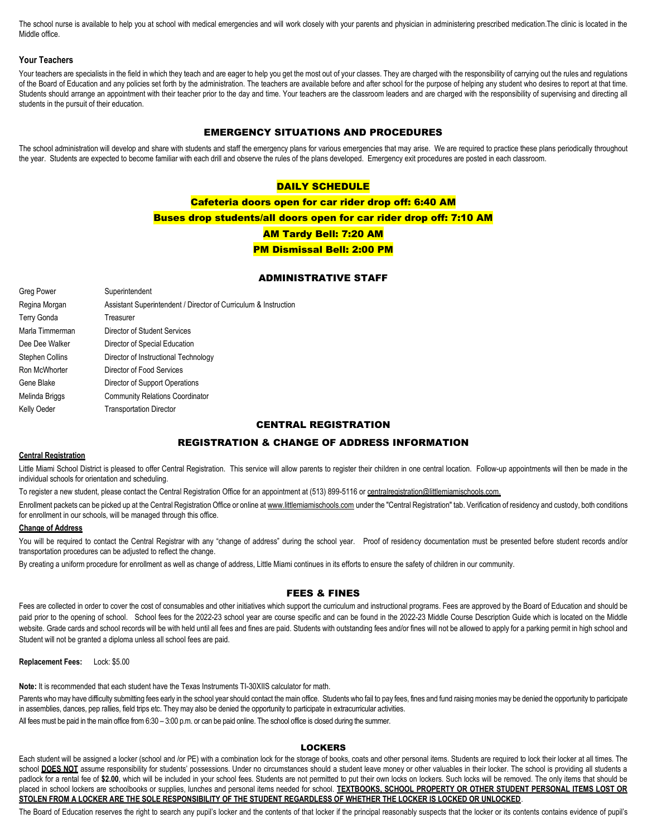The school nurse is available to help you at school with medical emergencies and will work closely with your parents and physician in administering prescribed medication. The clinic is located in the Middle office.

#### **Your Teachers**

Your teachers are specialists in the field in which they teach and are eager to help you get the most out of your classes. They are charged with the responsibility of carrying out the rules and regulations of the Board of Education and any policies set forth by the administration. The teachers are available before and after school for the purpose of helping any student who desires to report at that time. Students should arrange an appointment with their teacher prior to the day and time. Your teachers are the classroom leaders and are charged with the responsibility of supervising and directing all students in the pursuit of their education.

# EMERGENCY SITUATIONS AND PROCEDURES

The school administration will develop and share with students and staff the emergency plans for various emergencies that may arise. We are required to practice these plans periodically throughout the year. Students are expected to become familiar with each drill and observe the rules of the plans developed. Emergency exit procedures are posted in each classroom.

# DAILY SCHEDULE

Cafeteria doors open for car rider drop off: 6:40 AM Buses drop students/all doors open for car rider drop off: 7:10 AM AM Tardy Bell: 7:20 AM PM Dismissal Bell: 2:00 PM

# ADMINISTRATIVE STAFF

| Greg Power             | Superintendent                                                  |
|------------------------|-----------------------------------------------------------------|
| Regina Morgan          | Assistant Superintendent / Director of Curriculum & Instruction |
| <b>Terry Gonda</b>     | Treasurer                                                       |
| Marla Timmerman        | Director of Student Services                                    |
| Dee Dee Walker         | Director of Special Education                                   |
| <b>Stephen Collins</b> | Director of Instructional Technology                            |
| Ron McWhorter          | Director of Food Services                                       |
| Gene Blake             | Director of Support Operations                                  |
| Melinda Briggs         | <b>Community Relations Coordinator</b>                          |
| Kelly Oeder            | <b>Transportation Director</b>                                  |

# CENTRAL REGISTRATION

#### REGISTRATION & CHANGE OF ADDRESS INFORMATION

#### **Central Registration**

Little Miami School District is pleased to offer Central Registration. This service will allow parents to register their children in one central location. Follow-up appointments will then be made in the individual schools for orientation and scheduling.

To register a new student, please contact the Central Registration Office for an appointment at (513) 899-5116 or centralregistration@littlemiamischools.com.

Enrollment packets can be picked up at the Central Registration Office or online a[t www.littlemiamischools.com](http://mail.littlemiamischools.com/owa/redir.aspx?C=552fbb81ea8e4759af3f83c445dcbb97&URL=http%3a%2f%2fwww.littlemiamischools.com) under the "Central Registration" tab. Verification of residency and custody, both conditions for enrollment in our schools, will be managed through this office.

#### **Change of Address**

You will be required to contact the Central Registrar with any "change of address" during the school year. Proof of residency documentation must be presented before student records and/or transportation procedures can be adjusted to reflect the change.

By creating a uniform procedure for enrollment as well as change of address, Little Miami continues in its efforts to ensure the safety of children in our community.

# FEES & FINES

Fees are collected in order to cover the cost of consumables and other initiatives which support the curriculum and instructional programs. Fees are approved by the Board of Education and should be paid prior to the opening of school. School fees for the 2022-23 school year are course specific and can be found in the 2022-23 Middle Course Description Guide which is located on the Middle website. Grade cards and school records will be with held until all fees and fines are paid. Students with outstanding fees and/or fines will not be allowed to apply for a parking permit in high school and Student will not be granted a diploma unless all school fees are paid.

**Replacement Fees:** Lock: \$5.00

**Note:** It is recommended that each student have the Texas Instruments TI-30XIIS calculator for math.

Parents who may have difficulty submitting fees early in the school year should contact the main office. Students who fail to pay fees, fines and fund raising monies may be denied the opportunity to participate in assemblies, dances, pep rallies, field trips etc. They may also be denied the opportunity to participate in extracurricular activities. All fees must be paid in the main office from 6:30 – 3:00 p.m. or can be paid online. The school office is closed during the summer.

#### LOCKERS

Each student will be assigned a locker (school and /or PE) with a combination lock for the storage of books, coats and other personal items. Students are required to lock their locker at all times. The school DOES NOT assume responsibility for students' possessions. Under no circumstances should a student leave money or other valuables in their locker. The school is providing all students a padlock for a rental fee of \$2.00, which will be included in your school fees. Students are not permitted to put their own locks on lockers. Such locks will be removed. The only items that should be placed in school lockers are schoolbooks or supplies, lunches and personal items needed for school. **TEXTBOOKS, SCHOOL PROPERTY OR OTHER STUDENT PERSONAL ITEMS LOST OR STOLEN FROM A LOCKER ARE THE SOLE RESPONSIBILITY OF THE STUDENT REGARDLESS OF WHETHER THE LOCKER IS LOCKED OR UNLOCKED**.

The Board of Education reserves the right to search any pupil's locker and the contents of that locker if the principal reasonably suspects that the locker or its contents contains evidence of pupil's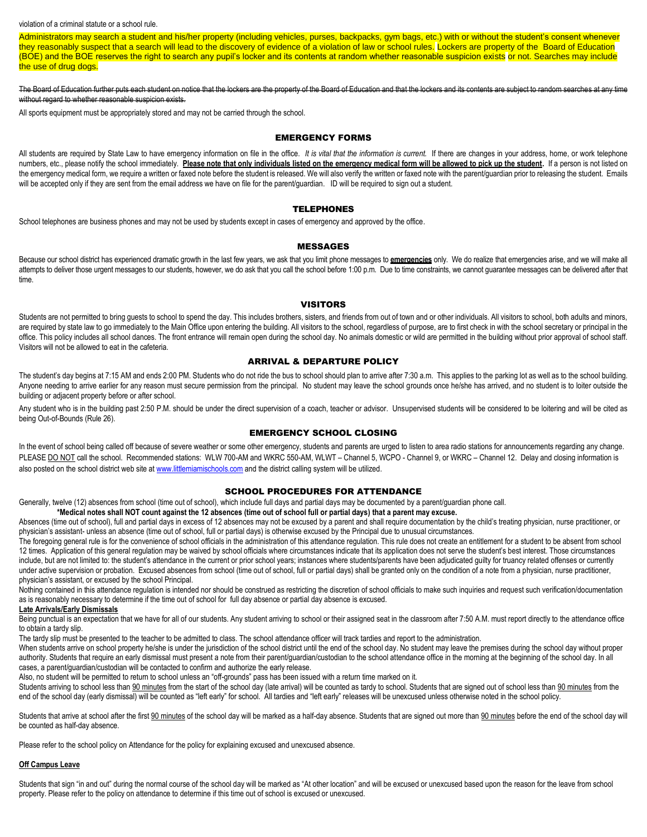#### violation of a criminal statute or a school rule.

Administrators may search a student and his/her property (including vehicles, purses, backpacks, gym bags, etc.) with or without the student's consent whenever they reasonably suspect that a search will lead to the discovery of evidence of a violation of law or school rules. Lockers are property of the Board of Education (BOE) and the BOE reserves the right to search any pupil's locker and its contents at random whether reasonable suspicion exists or not. Searches may include the use of drug dogs.

The Board of Education further puts each student on notice that the lockers are the property of the Board of Education and that the lockers and its contents are subject to random searches at any time without regard to whether reasonable suspicion exists.

All sports equipment must be appropriately stored and may not be carried through the school.

#### EMERGENCY FORMS

All students are required by State Law to have emergency information on file in the office. *It is vital that the information is current.* If there are changes in your address, home, or work telephone numbers, etc., please notify the school immediately. **Please note that only individuals listed on the emergency medical form will be allowed to pick up the student. If a person is not listed on** the emergency medical form, we require a written or faxed note before the student is released. We will also verify the written or faxed note with the parent/guardian prior to releasing the student. Emails will be accepted only if they are sent from the email address we have on file for the parent/guardian. ID will be required to sign out a student.

#### TELEPHONES

School telephones are business phones and may not be used by students except in cases of emergency and approved by the office.

#### MESSAGES

Because our school district has experienced dramatic growth in the last few years, we ask that you limit phone messages to **emergencies** only. We do realize that emergencies arise, and we will make all attempts to deliver those urgent messages to our students, however, we do ask that you call the school before 1:00 p.m. Due to time constraints, we cannot guarantee messages can be delivered after that time.

#### VISITORS

Students are not permitted to bring quests to school to spend the day. This includes brothers, sisters, and friends from out of town and or other individuals. All visitors to school, both adults and minors, are required by state law to go immediately to the Main Office upon entering the building. All visitors to the school, regardless of purpose, are to first check in with the school secretary or principal in the office. This policy includes all school dances. The front entrance will remain open during the school day. No animals domestic or wild are permitted in the building without prior approval of school staff. Visitors will not be allowed to eat in the cafeteria.

#### ARRIVAL & DEPARTURE POLICY

The student's day begins at 7:15 AM and ends 2:00 PM. Students who do not ride the bus to school should plan to arrive after 7:30 a.m. This applies to the parking lot as well as to the school building. Anyone needing to arrive earlier for any reason must secure permission from the principal. No student may leave the school grounds once he/she has arrived, and no student is to loiter outside the building or adjacent property before or after school.

Any student who is in the building past 2:50 P.M. should be under the direct supervision of a coach, teacher or advisor. Unsupervised students will be considered to be loitering and will be cited as being Out-of-Bounds (Rule 26).

#### EMERGENCY SCHOOL CLOSING

In the event of school being called off because of severe weather or some other emergency, students and parents are urged to listen to area radio stations for announcements regarding any change. PLEASE DO NOT call the school. Recommended stations: WLW 700-AM and WKRC 550-AM, WLWT – Channel 5, WCPO - Channel 9, or WKRC – Channel 12. Delay and closing information is also posted on the school district web site a[t www.littlemiamischools.com](http://www.littlemiamischools.com/) and the district calling system will be utilized.

#### SCHOOL PROCEDURES FOR ATTENDANCE

Generally, twelve (12) absences from school (time out of school), which include full days and partial days may be documented by a parent/guardian phone call.

**\*Medical notes shall NOT count against the 12 absences (time out of school full or partial days) that a parent may excuse.** 

Absences (time out of school), full and partial days in excess of 12 absences may not be excused by a parent and shall require documentation by the child's treating physician, nurse practitioner, or physician's assistant- unless an absence (time out of school, full or partial days) is otherwise excused by the Principal due to unusual circumstances.

The foregoing general rule is for the convenience of school officials in the administration of this attendance regulation. This rule does not create an entitlement for a student to be absent from school 12 times. Application of this general regulation may be waived by school officials where circumstances indicate that its application does not serve the student's best interest. Those circumstances include, but are not limited to: the student's attendance in the current or prior school years; instances where students/parents have been adjudicated guilty for truancy related offenses or currently under active supervision or probation. Excused absences from school (time out of school, full or partial days) shall be granted only on the condition of a note from a physician, nurse practitioner, physician's assistant, or excused by the school Principal.

Nothing contained in this attendance regulation is intended nor should be construed as restricting the discretion of school officials to make such inquiries and request such verification/documentation as is reasonably necessary to determine if the time out of school for full day absence or partial day absence is excused.

#### **Late Arrivals/Early Dismissals**

Being punctual is an expectation that we have for all of our students. Any student arriving to school or their assigned seat in the classroom after 7:50 A.M. must report directly to the attendance office to obtain a tardy slip.

The tardy slip must be presented to the teacher to be admitted to class. The school attendance officer will track tardies and report to the administration.

When students arrive on school property he/she is under the jurisdiction of the school district until the end of the school day. No student may leave the premises during the school day without proper authority. Students that require an early dismissal must present a note from their parent/guardian/custodian to the school attendance office in the morning at the beginning of the school day. In all cases, a parent/guardian/custodian will be contacted to confirm and authorize the early release.

Also, no student will be permitted to return to school unless an "off-grounds" pass has been issued with a return time marked on it.

Students arriving to school less than 90 minutes from the start of the school day (late arrival) will be counted as tardy to school. Students that are signed out of school less than 90 minutes from the end of the school day (early dismissal) will be counted as "left early" for school. All tardies and "left early" releases will be unexcused unless otherwise noted in the school policy.

Students that arrive at school after the first 90 minutes of the school day will be marked as a half-day absence. Students that are signed out more than 90 minutes before the end of the school day will be counted as half-day absence.

Please refer to the school policy on Attendance for the policy for explaining excused and unexcused absence.

#### **Off Campus Leave**

Students that sign "in and out" during the normal course of the school day will be marked as "At other location" and will be excused or unexcused based upon the reason for the leave from school property. Please refer to the policy on attendance to determine if this time out of school is excused or unexcused.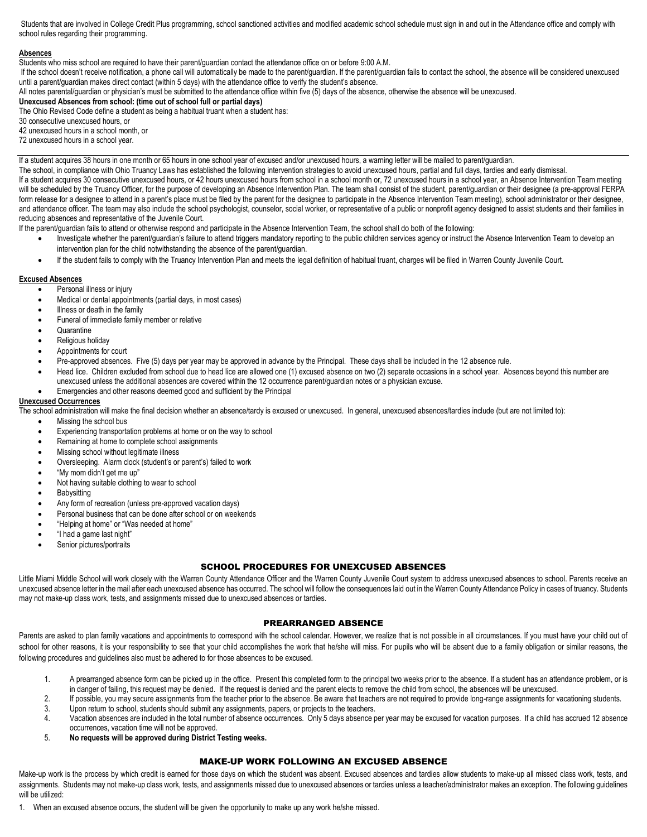Students that are involved in College Credit Plus programming, school sanctioned activities and modified academic school schedule must sign in and out in the Attendance office and comply with school rules regarding their programming.

#### **Absences**

Students who miss school are required to have their parent/guardian contact the attendance office on or before 9:00 A.M.

If the school doesn't receive notification, a phone call will automatically be made to the parent/guardian. If the parent/guardian fails to contact the school, the absence will be considered unexcused until a parent/guardian makes direct contact (within 5 days) with the attendance office to verify the student's absence.

All notes parental/guardian or physician's must be submitted to the attendance office within five (5) days of the absence, otherwise the absence will be unexcused.

**Unexcused Absences from school: (time out of school full or partial days)** 

The Ohio Revised Code define a student as being a habitual truant when a student has:

30 consecutive unexcused hours, or

42 unexcused hours in a school month, or

72 unexcused hours in a school year.

If a student acquires 38 hours in one month or 65 hours in one school year of excused and/or unexcused hours, a warning letter will be mailed to parent/guardian.

The school, in compliance with Ohio Truancy Laws has established the following intervention strategies to avoid unexcused hours, partial and full days, tardies and early dismissal. If a student acquires 30 consecutive unexcused hours, or 42 hours unexcused hours from school in a school month or, 72 unexcused hours in a school year, an Absence Intervention Team meeting will be scheduled by the Truancy Officer, for the purpose of developing an Absence Intervention Plan. The team shall consist of the student, parent/guardian or their designee (a pre-approval FERPA form release for a designee to attend in a parent's place must be filed by the parent for the designee to participate in the Absence Intervention Team meeting), school administrator or their designee, and attendance officer. The team may also include the school psychologist, counselor, social worker, or representative of a public or nonprofit agency designed to assist students and their families in reducing absences and representative of the Juvenile Court.

If the parent/guardian fails to attend or otherwise respond and participate in the Absence Intervention Team, the school shall do both of the following:

- Investigate whether the parent/guardian's failure to attend triggers mandatory reporting to the public children services agency or instruct the Absence Intervention Team to develop an intervention plan for the child notwithstanding the absence of the parent/guardian.
- If the student fails to comply with the Truancy Intervention Plan and meets the legal definition of habitual truant, charges will be filed in Warren County Juvenile Court.

#### **Excused Absences**

- Personal illness or injury
- Medical or dental appointments (partial days, in most cases)
- Illness or death in the family
- Funeral of immediate family member or relative
- **Quarantine**
- Religious holiday
- Appointments for court
- Pre-approved absences. Five (5) days per year may be approved in advance by the Principal. These days shall be included in the 12 absence rule.
- Head lice. Children excluded from school due to head lice are allowed one (1) excused absence on two (2) separate occasions in a school year. Absences beyond this number are unexcused unless the additional absences are covered within the 12 occurrence parent/guardian notes or a physician excuse.
- Emergencies and other reasons deemed good and sufficient by the Principal

# **Unexcused Occurrences**

The school administration will make the final decision whether an absence/tardy is excused or unexcused. In general, unexcused absences/tardies include (but are not limited to):

- Missing the school bus
- Experiencing transportation problems at home or on the way to school
- Remaining at home to complete school assignments
- Missing school without legitimate illness
- Oversleeping. Alarm clock (student's or parent's) failed to work
- "My mom didn't get me up"
- Not having suitable clothing to wear to school
- **Babysitting**
- Any form of recreation (unless pre-approved vacation days)
- Personal business that can be done after school or on weekends
- "Helping at home" or "Was needed at home"
- "I had a game last night"
- Senior pictures/portraits

#### SCHOOL PROCEDURES FOR UNEXCUSED ABSENCES

Little Miami Middle School will work closely with the Warren County Attendance Officer and the Warren County Juvenile Court system to address unexcused absences to school. Parents receive an unexcused absence letter in the mail after each unexcused absence has occurred. The school will follow the consequences laid out in the Warren County Attendance Policy in cases of truancy. Students may not make-up class work, tests, and assignments missed due to unexcused absences or tardies.

#### PREARRANGED ABSENCE

Parents are asked to plan family vacations and appointments to correspond with the school calendar. However, we realize that is not possible in all circumstances. If you must have your child out of school for other reasons, it is your responsibility to see that your child accomplishes the work that he/she will miss. For pupils who will be absent due to a family obligation or similar reasons, the following procedures and guidelines also must be adhered to for those absences to be excused.

- 1. A prearranged absence form can be picked up in the office. Present this completed form to the principal two weeks prior to the absence. If a student has an attendance problem, or is
- in danger of failing, this request may be denied. If the request is denied and the parent elects to remove the child from school, the absences will be unexcused. 2. If possible, you may secure assignments from the teacher prior to the absence. Be aware that teachers are not required to provide long-range assignments for vacationing students.
- 3. Upon return to school, students should submit any assignments, papers, or projects to the teachers.
- 4. Vacation absences are included in the total number of absence occurrences. Only 5 days absence per year may be excused for vacation purposes. If a child has accrued 12 absence occurrences, vacation time will not be approved.
- 5. **No requests will be approved during District Testing weeks.**

#### MAKE-UP WORK FOLLOWING AN EXCUSED ABSENCE

Make-up work is the process by which credit is earned for those days on which the student was absent. Excused absences and tardies allow students to make-up all missed class work, tests, and assignments. Students may not make-up class work, tests, and assignments missed due to unexcused absences or tardies unless a teacher/administrator makes an exception. The following quidelines will be utilized:

1. When an excused absence occurs, the student will be given the opportunity to make up any work he/she missed.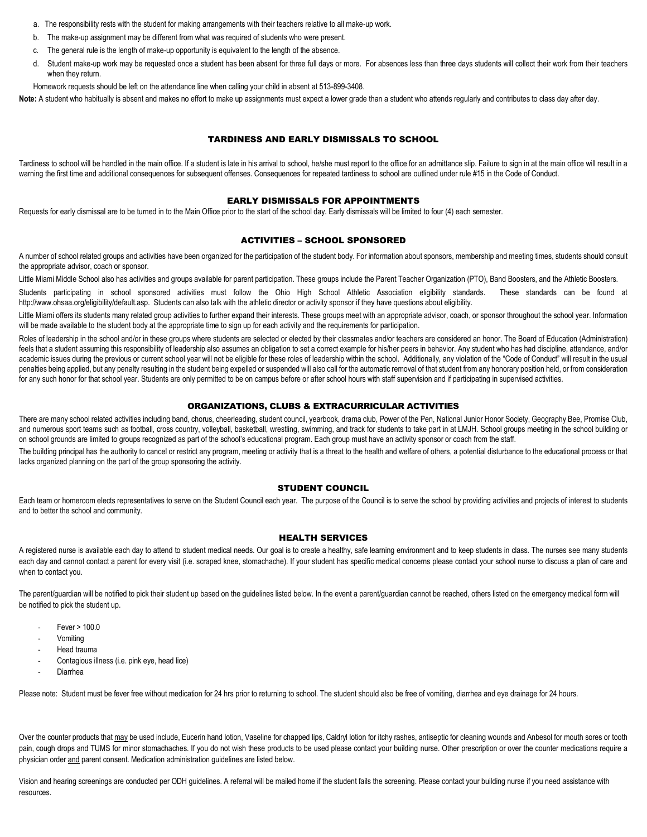- a. The responsibility rests with the student for making arrangements with their teachers relative to all make-up work.
- b. The make-up assignment may be different from what was required of students who were present.
- c. The general rule is the length of make-up opportunity is equivalent to the length of the absence.
- d. Student make-up work may be requested once a student has been absent for three full days or more. For absences less than three days students will collect their work from their teachers when they return.
- Homework requests should be left on the attendance line when calling your child in absent at 513-899-3408.

Note: A student who habitually is absent and makes no effort to make up assignments must expect a lower grade than a student who attends regularly and contributes to class day after day.

# TARDINESS AND EARLY DISMISSALS TO SCHOOL

Tardiness to school will be handled in the main office. If a student is late in his arrival to school, he/she must report to the office for an admittance slip. Failure to sign in at the main office will result in a warning the first time and additional consequences for subsequent offenses. Consequences for repeated tardiness to school are outlined under rule #15 in the Code of Conduct.

#### EARLY DISMISSALS FOR APPOINTMENTS

Requests for early dismissal are to be turned in to the Main Office prior to the start of the school day. Early dismissals will be limited to four (4) each semester.

#### ACTIVITIES – SCHOOL SPONSORED

A number of school related groups and activities have been organized for the participation of the student body. For information about sponsors, membership and meeting times, students should consult the appropriate advisor, coach or sponsor.

Little Miami Middle School also has activities and groups available for parent participation. These groups include the Parent Teacher Organization (PTO), Band Boosters, and the Athletic Boosters.

Students participating in school sponsored activities must follow the Ohio High School Athletic Association eligibility standards. These standards can be found at http://www.ohsaa.org/eligibility/default.asp. Students can also talk with the athletic director or activity sponsor if they have questions about eligibility.

Little Miami offers its students many related group activities to further expand their interests. These groups meet with an appropriate advisor, coach, or sponsor throughout the school year. Information will be made available to the student body at the appropriate time to sign up for each activity and the requirements for participation.

Roles of leadership in the school and/or in these groups where students are selected or elected by their classmates and/or teachers are considered an honor. The Board of Education (Administration) feels that a student assuming this responsibility of leadership also assumes an obligation to set a correct example for his/her peers in behavior. Any student who has had discipline, attendance, and/or academic issues during the previous or current school year will not be eligible for these roles of leadership within the school. Additionally, any violation of the "Code of Conduct" will result in the usual penalties being applied, but any penalty resulting in the student being expelled or suspended will also call for the automatic removal of that student from any honorary position held, or from consideration for any such honor for that school year. Students are only permitted to be on campus before or after school hours with staff supervision and if participating in supervised activities.

#### ORGANIZATIONS, CLUBS & EXTRACURRICULAR ACTIVITIES

There are many school related activities including band, chorus, cheerleading, student council, yearbook, drama club, Power of the Pen, National Junior Honor Society, Geography Bee, Promise Club, and numerous sport teams such as football, cross country, volleyball, basketball, wrestling, swimming, and track for students to take part in at LMJH. School groups meeting in the school building or on school grounds are limited to groups recognized as part of the school's educational program. Each group must have an activity sponsor or coach from the staff.

The building principal has the authority to cancel or restrict any program, meeting or activity that is a threat to the health and welfare of others, a potential disturbance to the educational process or that lacks organized planning on the part of the group sponsoring the activity.

# STUDENT COUNCIL

Each team or homeroom elects representatives to serve on the Student Council each year. The purpose of the Council is to serve the school by providing activities and projects of interest to students and to better the school and community.

#### HEALTH SERVICES

A registered nurse is available each day to attend to student medical needs. Our goal is to create a healthy, safe learning environment and to keep students in class. The nurses see many students each day and cannot contact a parent for every visit (i.e. scraped knee, stomachache). If your student has specific medical concerns please contact your school nurse to discuss a plan of care and when to contact you.

The parent/guardian will be notified to pick their student up based on the guidelines listed below. In the event a parent/guardian cannot be reached, others listed on the emergency medical form will be notified to pick the student up.

- $Fever > 100.0$
- **Vomiting**
- Head trauma
- Contagious illness (i.e. pink eye, head lice)
- **Diarrhea**

Please note: Student must be fever free without medication for 24 hrs prior to returning to school. The student should also be free of vomiting, diarrhea and eye drainage for 24 hours.

Over the counter products that may be used include, Eucerin hand lotion, Vaseline for chapped lips, Caldryl lotion for itchy rashes, antiseptic for cleaning wounds and Anbesol for mouth sores or tooth pain, cough drops and TUMS for minor stomachaches. If you do not wish these products to be used please contact your building nurse. Other prescription or over the counter medications require a physician order and parent consent. Medication administration guidelines are listed below.

Vision and hearing screenings are conducted per ODH guidelines. A referral will be mailed home if the student fails the screening. Please contact your building nurse if you need assistance with resources.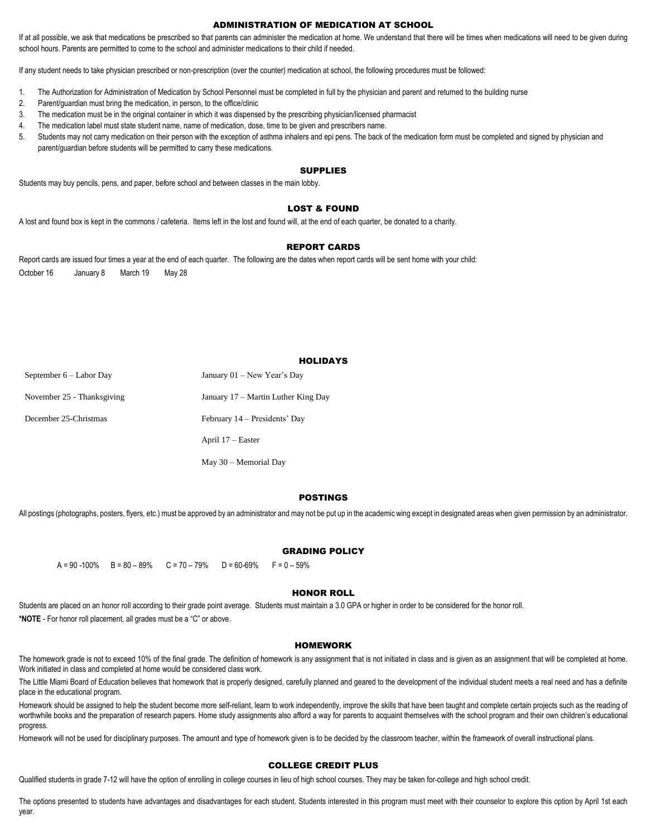#### ADMINISTRATION OF MEDICATION AT SCHOOL

If at all possible, we ask that medications be prescribed so that parents can administer the medication at home. We understand that there will be times when medications will need to be given during school hours. Parents are permitted to come to the school and administer medications to their child if needed.

If any student needs to take physician prescribed or non-prescription (over the counter) medication at school, the following procedures must be followed:

- 1. The Authorization for Administration of Medication by School Personnel must be completed in full by the physician and parent and returned to the building nurse
- 2. Parent/guardian must bring the medication, in person, to the office/clinic
- 3. The medication must be in the original container in which it was dispensed by the prescribing physician/licensed pharmacist
- 4. The medication label must state student name, name of medication, dose, time to be given and prescribers name.
- 5. Students may not carry medication on their person with the exception of asthma inhalers and epi pens. The back of the medication form must be completed and signed by physician and parent/guardian before students will be permitted to carry these medications.

#### SUPPLIES

Students may buy pencils, pens, and paper, before school and between classes in the main lobby.

#### LOST & FOUND

A lost and found box is kept in the commons / cafeteria. Items left in the lost and found will, at the end of each quarter, be donated to a charity.

#### REPORT CARDS

Report cards are issued four times a year at the end of each quarter. The following are the dates when report cards will be sent home with your child: October 16 January 8 March 19 May 28

# **HOLIDAYS**

| September $6 -$ Labor Day  | January $01$ – New Year's Day       |
|----------------------------|-------------------------------------|
| November 25 - Thanksgiving | January 17 – Martin Luther King Day |
| December 25-Christmas      | February 14 – Presidents' Day       |
|                            | April 17 – Easter                   |
|                            | May 30 – Memorial Dav               |

#### POSTINGS

All postings (photographs, posters, flyers, etc.) must be approved by an administrator and may not be put up in the academic wing except in designated areas when given permission by an administrator.

#### GRADING POLICY

```
A = 90 - 100\% B = 80 - 89\% C = 70 - 79\% D = 60 - 69\% F = 0 - 59\%
```
# HONOR ROLL

Students are placed on an honor roll according to their grade point average. Students must maintain a 3.0 GPA or higher in order to be considered for the honor roll. **\*NOTE** - For honor roll placement, all grades must be a "C" or above.

#### HOMEWORK

The homework grade is not to exceed 10% of the final grade. The definition of homework is any assignment that is not initiated in class and is given as an assignment that will be completed at home. Work initiated in class and completed at home would be considered class work.

The Little Miami Board of Education believes that homework that is properly designed, carefully planned and geared to the development of the individual student meets a real need and has a definite place in the educational program.

Homework should be assigned to help the student become more self-reliant, learn to work independently, improve the skills that have been taught and complete certain projects such as the reading of worthwhile books and the preparation of research papers. Home study assignments also afford a way for parents to acquaint themselves with the school program and their own children's educational progress.

Homework will not be used for disciplinary purposes. The amount and type of homework given is to be decided by the classroom teacher, within the framework of overall instructional plans.

#### COLLEGE CREDIT PLUS

Qualified students in grade 7-12 will have the option of enrolling in college courses in lieu of high school courses. They may be taken for college and high school credit.

The options presented to students have advantages and disadvantages for each student. Students interested in this program must meet with their counselor to explore this option by April 1st each year.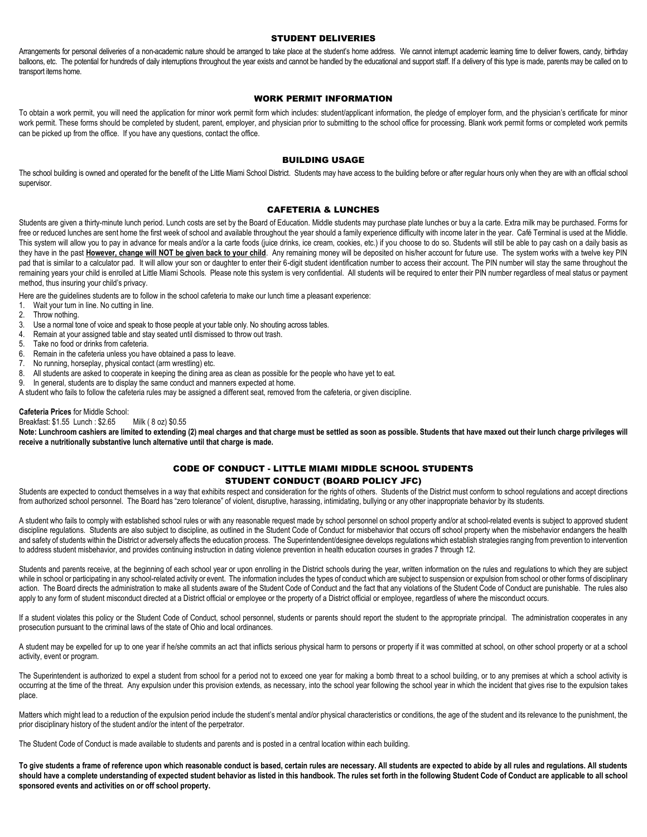#### STUDENT DELIVERIES

Arrangements for personal deliveries of a non-academic nature should be arranged to take place at the student's home address. We cannot interrupt academic learning time to deliver flowers, candy, birthday balloons, etc. The potential for hundreds of daily interruptions throughout the year exists and cannot be handled by the educational and support staff. If a delivery of this type is made, parents may be called on to transport items home.

# WORK PERMIT INFORMATION

To obtain a work permit, you will need the application for minor work permit form which includes: student/applicant information, the pledge of employer form, and the physician's certificate for minor work permit. These forms should be completed by student, parent, employer, and physician prior to submitting to the school office for processing. Blank work permit forms or completed work permits can be picked up from the office. If you have any questions, contact the office.

#### BUILDING USAGE

The school building is owned and operated for the benefit of the Little Miami School District. Students may have access to the building before or after regular hours only when they are with an official school supervisor.

#### CAFETERIA & LUNCHES

Students are given a thirty-minute lunch period. Lunch costs are set by the Board of Education. Middle students may purchase plate lunches or buy a la carte. Extra milk may be purchased. Forms for free or reduced lunches are sent home the first week of school and available throughout the year should a family experience difficulty with income later in the year. Café Terminal is used at the Middle. This system will allow you to pay in advance for meals and/or a la carte foods (juice drinks, ice cream, cookies, etc.) if you choose to do so. Students will still be able to pay cash on a daily basis as they have in the past **However, change will NOT be given back to your child**. Any remaining money will be deposited on his/her account for future use. The system works with a twelve key PIN pad that is similar to a calculator pad. It will allow your son or daughter to enter their 6-digit student identification number to access their account. The PIN number will stay the same throughout the remaining years your child is enrolled at Little Miami Schools. Please note this system is very confidential. All students will be required to enter their PIN number regardless of meal status or payment method, thus insuring your child's privacy.

Here are the guidelines students are to follow in the school cafeteria to make our lunch time a pleasant experience:

- 1. Wait your turn in line. No cutting in line.
- 2. Throw nothing.<br>3. Use a normal to
- Use a normal tone of voice and speak to those people at your table only. No shouting across tables.
- 4. Remain at your assigned table and stay seated until dismissed to throw out trash.
- 5. Take no food or drinks from cafeteria.
- 6. Remain in the cafeteria unless you have obtained a pass to leave.
- 7. No running, horseplay, physical contact (arm wrestling) etc.
- 8. All students are asked to cooperate in keeping the dining area as clean as possible for the people who have yet to eat.
- 9. In general, students are to display the same conduct and manners expected at home.
- A student who fails to follow the cafeteria rules may be assigned a different seat, removed from the cafeteria, or given discipline.

#### **Cafeteria Prices** for Middle School:

Breakfast: \$1.55 Lunch : \$2.65 Milk ( 8 oz) \$0.55

Note: Lunchroom cashiers are limited to extending (2) meal charges and that charge must be settled as soon as possible. Students that have maxed out their lunch charge privileges will **receive a nutritionally substantive lunch alternative until that charge is made.**

# CODE OF CONDUCT - LITTLE MIAMI MIDDLE SCHOOL STUDENTS STUDENT CONDUCT (BOARD POLICY JFC)

Students are expected to conduct themselves in a way that exhibits respect and consideration for the rights of others. Students of the District must conform to school regulations and accept directions from authorized school personnel. The Board has "zero tolerance" of violent, disruptive, harassing, intimidating, bullying or any other inappropriate behavior by its students.

A student who fails to comply with established school rules or with any reasonable request made by school personnel on school property and/or at school-related events is subject to approved student discipline regulations. Students are also subject to discipline, as outlined in the Student Code of Conduct for misbehavior that occurs off school property when the misbehavior endangers the health and safety of students within the District or adversely affects the education process. The Superintendent/designee develops regulations which establish strategies ranging from prevention to intervention to address student misbehavior, and provides continuing instruction in dating violence prevention in health education courses in grades 7 through 12.

Students and parents receive, at the beginning of each school year or upon enrolling in the District schools during the year, written information on the rules and regulations to which they are subject while in school or participating in any school-related activity or event. The information includes the types of conduct which are subject to suspension or expulsion from school or other forms of disciplinary action. The Board directs the administration to make all students aware of the Student Code of Conduct and the fact that any violations of the Student Code of Conduct are punishable. The rules also apply to any form of student misconduct directed at a District official or employee or the property of a District official or employee, regardless of where the misconduct occurs.

If a student violates this policy or the Student Code of Conduct, school personnel, students or parents should report the student to the appropriate principal. The administration cooperates in any prosecution pursuant to the criminal laws of the state of Ohio and local ordinances.

A student may be expelled for up to one year if he/she commits an act that inflicts serious physical harm to persons or property if it was committed at school, on other school property or at a school activity, event or program.

The Superintendent is authorized to expel a student from school for a period not to exceed one year for making a bomb threat to a school building, or to any premises at which a school activity is occurring at the time of the threat. Any expulsion under this provision extends, as necessary, into the school year following the school year in which the incident that gives rise to the expulsion takes place.

Matters which might lead to a reduction of the expulsion period include the student's mental and/or physical characteristics or conditions, the age of the student and its relevance to the punishment, the prior disciplinary history of the student and/or the intent of the perpetrator.

The Student Code of Conduct is made available to students and parents and is posted in a central location within each building.

**To give students a frame of reference upon which reasonable conduct is based, certain rules are necessary. All students are expected to abide by all rules and regulations. All students**  should have a complete understanding of expected student behavior as listed in this handbook. The rules set forth in the following Student Code of Conduct are applicable to all school **sponsored events and activities on or off school property.**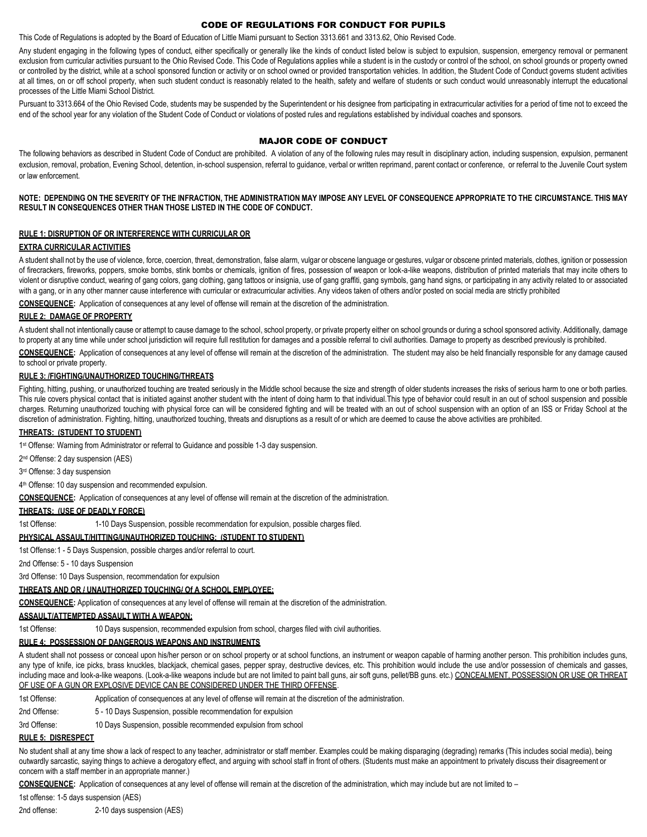# CODE OF REGULATIONS FOR CONDUCT FOR PUPILS

This Code of Regulations is adopted by the Board of Education of Little Miami pursuant to Section 3313.661 and 3313.62, Ohio Revised Code.

Any student engaging in the following types of conduct, either specifically or generally like the kinds of conduct listed below is subject to expulsion, suspension, emergency removal or permanent exclusion from curricular activities pursuant to the Ohio Revised Code. This Code of Regulations applies while a student is in the custody or control of the school, on school grounds or property owned or controlled by the district, while at a school sponsored function or activity or on school owned or provided transportation vehicles. In addition, the Student Code of Conduct governs student activities at all times, on or off school property, when such student conduct is reasonably related to the health, safety and welfare of students or such conduct would unreasonably interrupt the educational processes of the Little Miami School District.

Pursuant to 3313.664 of the Ohio Revised Code, students may be suspended by the Superintendent or his designee from participating in extracurricular activities for a period of time not to exceed the end of the school year for any violation of the Student Code of Conduct or violations of posted rules and regulations established by individual coaches and sponsors.

# MAJOR CODE OF CONDUCT

The following behaviors as described in Student Code of Conduct are prohibited. A violation of any of the following rules may result in disciplinary action, including suspension, expulsion, permanent exclusion, removal, probation, Evening School, detention, in-school suspension, referral to guidance, verbal or written reprimand, parent contact or conference, or referral to the Juvenile Court system or law enforcement.

#### **NOTE: DEPENDING ON THE SEVERITY OF THE INFRACTION, THE ADMINISTRATION MAY IMPOSE ANY LEVEL OF CONSEQUENCE APPROPRIATE TO THE CIRCUMSTANCE. THIS MAY RESULT IN CONSEQUENCES OTHER THAN THOSE LISTED IN THE CODE OF CONDUCT.**

#### **RULE 1: DISRUPTION OF OR INTERFERENCE WITH CURRICULAR OR**

#### **EXTRA CURRICULAR ACTIVITIES**

A student shall not by the use of violence, force, coercion, threat, demonstration, false alarm, vulgar or obscene language or gestures, vulgar or obscene printed materials, clothes, ignition or possession of firecrackers, fireworks, poppers, smoke bombs, stink bombs or chemicals, ignition of fires, possession of weapon or look-a-like weapons, distribution of printed materials that may incite others to violent or disruptive conduct, wearing of gang colors, gang clothing, gang tattoos or insignia, use of gang graffiti, gang symbols, gang hand signs, or participating in any activity related to or associated with a gang, or in any other manner cause interference with curricular or extracurricular activities. Any videos taken of others and/or posted on social media are strictly prohibited

**CONSEQUENCE:** Application of consequences at any level of offense will remain at the discretion of the administration.

# **RULE 2: DAMAGE OF PROPERTY**

A student shall not intentionally cause or attempt to cause damage to the school, school property, or private property either on school grounds or during a school sponsored activity. Additionally, damage to property at any time while under school jurisdiction will require full restitution for damages and a possible referral to civil authorities. Damage to property as described previously is prohibited.

**CONSEQUENCE:** Application of consequences at any level of offense will remain at the discretion of the administration. The student may also be held financially responsible for any damage caused to school or private property.

#### **RULE 3: /FIGHTING/UNAUTHORIZED TOUCHING/THREATS**

Fighting, hitting, pushing, or unauthorized touching are treated seriously in the Middle school because the size and strength of older students increases the risks of serious harm to one or both parties. This rule covers physical contact that is initiated against another student with the intent of doing harm to that individual. This type of behavior could result in an out of school suspension and possible charges. Returning unauthorized touching with physical force can will be considered fighting and will be treated with an out of school suspension with an option of an ISS or Friday School at the discretion of administration. Fighting, hitting, unauthorized touching, threats and disruptions as a result of or which are deemed to cause the above activities are prohibited.

#### **THREATS: (STUDENT TO STUDENT)**

1<sup>st</sup> Offense: Warning from Administrator or referral to Guidance and possible 1-3 day suspension.

2 nd Offense: 2 day suspension (AES)

3 rd Offense: 3 day suspension

4 th Offense: 10 day suspension and recommended expulsion.

**CONSEQUENCE:** Application of consequences at any level of offense will remain at the discretion of the administration.

#### **THREATS: (USE OF DEADLY FORCE)**

1st Offense: 1-10 Days Suspension, possible recommendation for expulsion, possible charges filed.

#### **PHYSICAL ASSAULT/HITTING/UNAUTHORIZED TOUCHING: (STUDENT TO STUDENT)**

1st Offense:1 - 5 Days Suspension, possible charges and/or referral to court.

2nd Offense: 5 - 10 days Suspension

3rd Offense: 10 Days Suspension, recommendation for expulsion

# **THREATS AND OR / UNAUTHORIZED TOUCHING/ Of A SCHOOL EMPLOYEE:**

**CONSEQUENCE:** Application of consequences at any level of offense will remain at the discretion of the administration.

# **ASSAULT/ATTEMPTED ASSAULT WITH A WEAPON:**

1st Offense: 10 Days suspension, recommended expulsion from school, charges filed with civil authorities.

# **RULE 4: POSSESSION OF DANGEROUS WEAPONS AND INSTRUMENTS**

A student shall not possess or conceal upon his/her person or on school property or at school functions, an instrument or weapon capable of harming another person. This prohibition includes guns, any type of knife, ice picks, brass knuckles, blackjack, chemical gases, pepper spray, destructive devices, etc. This prohibition would include the use and/or possession of chemicals and gasses, including mace and look-a-like weapons. (Look-a-like weapons include but are not limited to paint ball guns, air soft guns, pellet/BB guns. etc.) CONCEALMENT, POSSESSION OR USE OR THREAT OF USE OF A GUN OR EXPLOSIVE DEVICE CAN BE CONSIDERED UNDER THE THIRD OFFENSE

1st Offense: Application of consequences at any level of offense will remain at the discretion of the administration.

2nd Offense: 5 - 10 Days Suspension, possible recommendation for expulsion

3rd Offense: 10 Days Suspension, possible recommended expulsion from school

#### **RULE 5: DISRESPECT**

No student shall at any time show a lack of respect to any teacher, administrator or staff member. Examples could be making disparaging (degrading) remarks (This includes social media), being outwardly sarcastic, saying things to achieve a derogatory effect, and arguing with school staff in front of others. (Students must make an appointment to privately discuss their disagreement or concern with a staff member in an appropriate manner.)

**CONSEQUENCE:** Application of consequences at any level of offense will remain at the discretion of the administration, which may include but are not limited to –

1st offense: 1-5 days suspension (AES)

2nd offense: 2-10 days suspension (AES)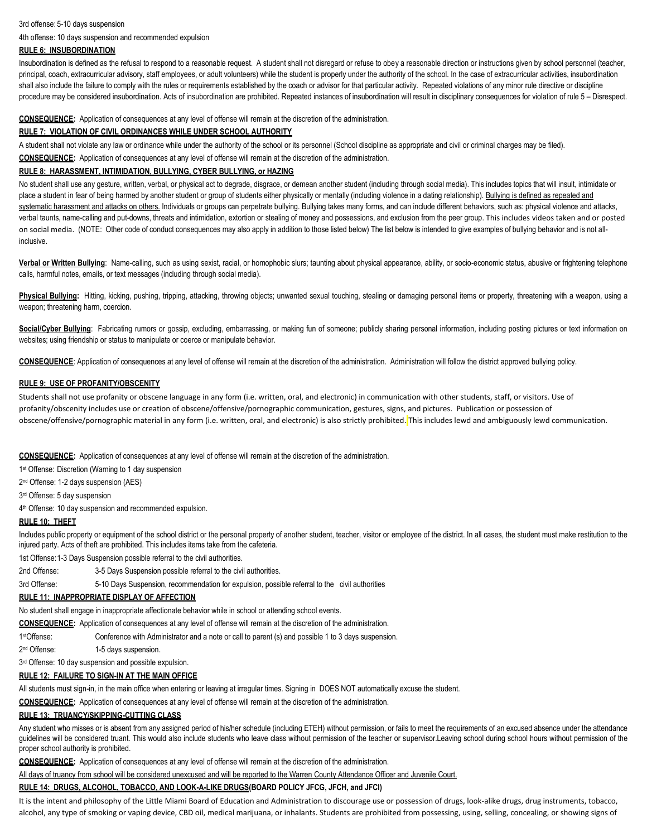#### 3rd offense: 5-10 days suspension

4th offense: 10 days suspension and recommended expulsion

# **RULE 6: INSUBORDINATION**

Insubordination is defined as the refusal to respond to a reasonable request. A student shall not disregard or refuse to obey a reasonable direction or instructions given by school personnel (teacher, principal, coach, extracurricular advisory, staff employees, or adult volunteers) while the student is properly under the authority of the school. In the case of extracurricular activities, insubordination shall also include the failure to comply with the rules or requirements established by the coach or advisor for that particular activity. Repeated violations of any minor rule directive or discipline procedure may be considered insubordination. Acts of insubordination are prohibited. Repeated instances of insubordination will result in disciplinary consequences for violation of rule 5 – Disrespect.

#### **CONSEQUENCE:** Application of consequences at any level of offense will remain at the discretion of the administration.

#### **RULE 7: VIOLATION OF CIVIL ORDINANCES WHILE UNDER SCHOOL AUTHORITY**

A student shall not violate any law or ordinance while under the authority of the school or its personnel (School discipline as appropriate and civil or criminal charges may be filed). **CONSEQUENCE:** Application of consequences at any level of offense will remain at the discretion of the administration.

#### **RULE 8: HARASSMENT, INTIMIDATION, BULLYING, CYBER BULLYING, or HAZING**

No student shall use any gesture, written, verbal, or physical act to degrade, disgrace, or demean another student (including through social media). This includes topics that will insult, intimidate or place a student in fear of being harmed by another student or group of students either physically or mentally (including violence in a dating relationship). Bullying is defined as repeated and systematic harassment and attacks on others. Individuals or groups can perpetrate bullying. Bullying takes many forms, and can include different behaviors, such as: physical violence and attacks, verbal taunts, name-calling and put-downs, threats and intimidation, extortion or stealing of money and possessions, and exclusion from the peer group. This includes videos taken and or posted on social media. (NOTE: Other code of conduct consequences may also apply in addition to those listed below) The list below is intended to give examples of bullying behavior and is not allinclusive.

Verbal or Written Bullying: Name-calling, such as using sexist, racial, or homophobic slurs; taunting about physical appearance, ability, or socio-economic status, abusive or frightening telephone calls, harmful notes, emails, or text messages (including through social media).

Physical Bullying: Hitting, kicking, pushing, tripping, attacking, throwing objects; unwanted sexual touching, stealing or damaging personal items or property, threatening with a weapon, using a weapon; threatening harm, coercion.

Social/Cyber Bullying: Fabricating rumors or gossip, excluding, embarrassing, or making fun of someone; publicly sharing personal information, including posting pictures or text information on websites; using friendship or status to manipulate or coerce or manipulate behavior.

**CONSEQUENCE**: Application of consequences at any level of offense will remain at the discretion of the administration. Administration will follow the district approved bullying policy.

#### **RULE 9: USE OF PROFANITY/OBSCENITY**

Students shall not use profanity or obscene language in any form (i.e. written, oral, and electronic) in communication with other students, staff, or visitors. Use of profanity/obscenity includes use or creation of obscene/offensive/pornographic communication, gestures, signs, and pictures. Publication or possession of obscene/offensive/pornographic material in any form (i.e. written, oral, and electronic) is also strictly prohibited. This includes lewd and ambiguously lewd communication.

**CONSEQUENCE:** Application of consequences at any level of offense will remain at the discretion of the administration.

1<sup>st</sup> Offense: Discretion (Warning to 1 day suspension

2 nd Offense: 1-2 days suspension (AES)

3 rd Offense: 5 day suspension

4 th Offense: 10 day suspension and recommended expulsion.

# **RULE 10: THEFT**

Includes public property or equipment of the school district or the personal property of another student, teacher, visitor or employee of the district. In all cases, the student must make restitution to the injured party. Acts of theft are prohibited. This includes items take from the cafeteria.

1st Offense:1-3 Days Suspension possible referral to the civil authorities.

2nd Offense: 3-5 Days Suspension possible referral to the civil authorities.

3rd Offense: 5-10 Days Suspension, recommendation for expulsion, possible referral to the civil authorities

#### **RULE 11: INAPPROPRIATE DISPLAY OF AFFECTION**

No student shall engage in inappropriate affectionate behavior while in school or attending school events.

**CONSEQUENCE:** Application of consequences at any level of offense will remain at the discretion of the administration.

1stOffense: Conference with Administrator and a note or call to parent (s) and possible 1 to 3 days suspension.

2<sup>nd</sup> Offense<sup>-</sup> 1-5 days suspension.

3<sup>rd</sup> Offense: 10 day suspension and possible expulsion.

#### **RULE 12: FAILURE TO SIGN-IN AT THE MAIN OFFICE**

All students must sign-in, in the main office when entering or leaving at irregular times. Signing in DOES NOT automatically excuse the student.

**CONSEQUENCE:** Application of consequences at any level of offense will remain at the discretion of the administration.

# **RULE 13: TRUANCY/SKIPPING-CUTTING CLASS**

Any student who misses or is absent from any assigned period of his/her schedule (including ETEH) without permission, or fails to meet the requirements of an excused absence under the attendance guidelines will be considered truant. This would also include students who leave class without permission of the teacher or supervisor.Leaving school during school hours without permission of the proper school authority is prohibited.

**CONSEQUENCE:** Application of consequences at any level of offense will remain at the discretion of the administration.

All days of truancy from school will be considered unexcused and will be reported to the Warren County Attendance Officer and Juvenile Court.

#### **RULE 14: DRUGS, ALCOHOL, TOBACCO, AND LOOK-A-LIKE DRUGS(BOARD POLICY JFCG, JFCH, and JFCI)**

It is the intent and philosophy of the Little Miami Board of Education and Administration to discourage use or possession of drugs, look-alike drugs, drug instruments, tobacco, alcohol, any type of smoking or vaping device, CBD oil, medical marijuana, or inhalants. Students are prohibited from possessing, using, selling, concealing, or showing signs of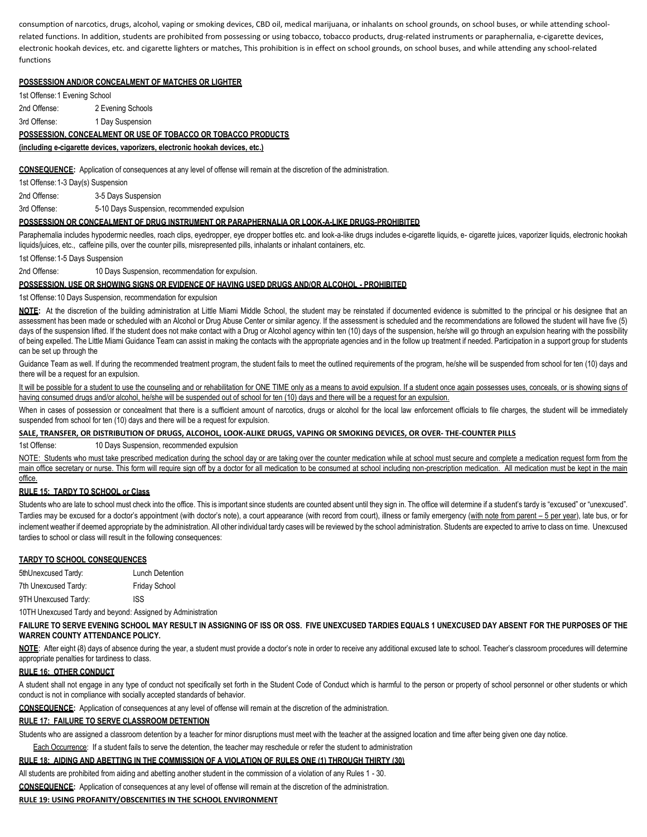consumption of narcotics, drugs, alcohol, vaping or smoking devices, CBD oil, medical marijuana, or inhalants on school grounds, on school buses, or while attending schoolrelated functions. In addition, students are prohibited from possessing or using tobacco, tobacco products, drug-related instruments or paraphernalia, e-cigarette devices, electronic hookah devices, etc. and cigarette lighters or matches, This prohibition is in effect on school grounds, on school buses, and while attending any school-related functions

# **POSSESSION AND/OR CONCEALMENT OF MATCHES OR LIGHTER**

1st Offense:1 Evening School

2nd Offense: 2 Evening Schools

3rd Offense: 1 Day Suspension

# **POSSESSION, CONCEALMENT OR USE OF TOBACCO OR TOBACCO PRODUCTS**

**(including e-cigarette devices, vaporizers, electronic hookah devices, etc.)**

**CONSEQUENCE:** Application of consequences at any level of offense will remain at the discretion of the administration.

1st Offense:1-3 Day(s) Suspension

2nd Offense: 3-5 Days Suspension

3rd Offense: 5-10 Days Suspension, recommended expulsion

#### **POSSESSION OR CONCEALMENT OF DRUG INSTRUMENT OR PARAPHERNALIA OR LOOK-A-LIKE DRUGS-PROHIBITED**

Paraphernalia includes hypodermic needles, roach clips, eyedropper, eye dropper bottles etc. and look-a-like drugs includes e-cigarette liquids, e- cigarette juices, vaporizer liquids, electronic hookah liquids/juices, etc., caffeine pills, over the counter pills, misrepresented pills, inhalants or inhalant containers, etc.

1st Offense:1-5 Days Suspension

2nd Offense: 10 Days Suspension, recommendation for expulsion.

#### **POSSESSION, USE OR SHOWING SIGNS OR EVIDENCE OF HAVING USED DRUGS AND/OR ALCOHOL - PROHIBITED**

1st Offense:10 Days Suspension, recommendation for expulsion

NOTE: At the discretion of the building administration at Little Miami Middle School, the student may be reinstated if documented evidence is submitted to the principal or his designee that an assessment has been made or scheduled with an Alcohol or Drug Abuse Center or similar agency. If the assessment is scheduled and the recommendations are followed the student will have five (5) days of the suspension lifted. If the student does not make contact with a Drug or Alcohol agency within ten (10) days of the suspension, he/she will go through an expulsion hearing with the possibility of being expelled. The Little Miami Guidance Team can assist in making the contacts with the appropriate agencies and in the follow up treatment if needed. Participation in a support group for students can be set up through the

Guidance Team as well. If during the recommended treatment program, the student fails to meet the outlined requirements of the program, he/she will be suspended from school for ten (10) days and there will be a request for an expulsion.

It will be possible for a student to use the counseling and or rehabilitation for ONE TIME only as a means to avoid expulsion. If a student once again possesses uses, conceals, or is showing signs of having consumed drugs and/or alcohol, he/she will be suspended out of school for ten (10) days and there will be a request for an expulsion.

When in cases of possession or concealment that there is a sufficient amount of narcotics, drugs or alcohol for the local law enforcement officials to file charges, the student will be immediately suspended from school for ten (10) days and there will be a request for expulsion.

#### **SALE, TRANSFER, OR DISTRIBUTION OF DRUGS, ALCOHOL, LOOK-ALIKE DRUGS, VAPING OR SMOKING DEVICES, OR OVER- THE-COUNTER PILLS**

1st Offense: 10 Days Suspension, recommended expulsion

NOTE: Students who must take prescribed medication during the school day or are taking over the counter medication while at school must secure and complete a medication request form from the main office secretary or nurse. This form will require sign off by a doctor for all medication to be consumed at school including non-prescription medication. All medication must be kept in the main office.

### **RULE 15: TARDY TO SCHOOL or Class**

Students who are late to school must check into the office. This is important since students are counted absent until they sign in. The office will determine if a student's tardy is "excused" or "unexcused". Tardies may be excused for a doctor's appointment (with doctor's note), a court appearance (with record from court), illness or family emergency (with note from parent – 5 per year), late bus, or for inclement weather if deemed appropriate by the administration. All other individual tardy cases will be reviewed by the school administration. Students are expected to arrive to class on time. Unexcused tardies to school or class will result in the following consequences:

#### **TARDY TO SCHOOL CONSEQUENCES**

| 5thUnexcused Tardy:  | Lunch Detention      |
|----------------------|----------------------|
| 7th Unexcused Tardy: | <b>Friday School</b> |
| 9TH Unexcused Tardy: | ISS                  |

10TH Unexcused Tardy and beyond: Assigned by Administration

#### **FAILURE TO SERVE EVENING SCHOOL MAY RESULT IN ASSIGNING OF ISS OR OSS. FIVE UNEXCUSED TARDIES EQUALS 1 UNEXCUSED DAY ABSENT FOR THE PURPOSES OF THE WARREN COUNTY ATTENDANCE POLICY.**

NOTE: After eight (8) days of absence during the year, a student must provide a doctor's note in order to receive any additional excused late to school. Teacher's classroom procedures will determine appropriate penalties for tardiness to class.

#### **RULE 16: OTHER CONDUCT**

A student shall not engage in any type of conduct not specifically set forth in the Student Code of Conduct which is harmful to the person or property of school personnel or other students or which conduct is not in compliance with socially accepted standards of behavior.

**CONSEQUENCE:** Application of consequences at any level of offense will remain at the discretion of the administration.

#### **RULE 17: FAILURE TO SERVE CLASSROOM DETENTION**

Students who are assigned a classroom detention by a teacher for minor disruptions must meet with the teacher at the assigned location and time after being given one day notice.

# Each Occurrence: If a student fails to serve the detention, the teacher may reschedule or refer the student to administration

# **RULE 18: AIDING AND ABETTING IN THE COMMISSION OF A VIOLATION OF RULES ONE (1) THROUGH THIRTY (30)**

All students are prohibited from aiding and abetting another student in the commission of a violation of any Rules 1 - 30.

**CONSEQUENCE:** Application of consequences at any level of offense will remain at the discretion of the administration.

#### **RULE 19: USING PROFANITY/OBSCENITIES IN THE SCHOOL ENVIRONMENT**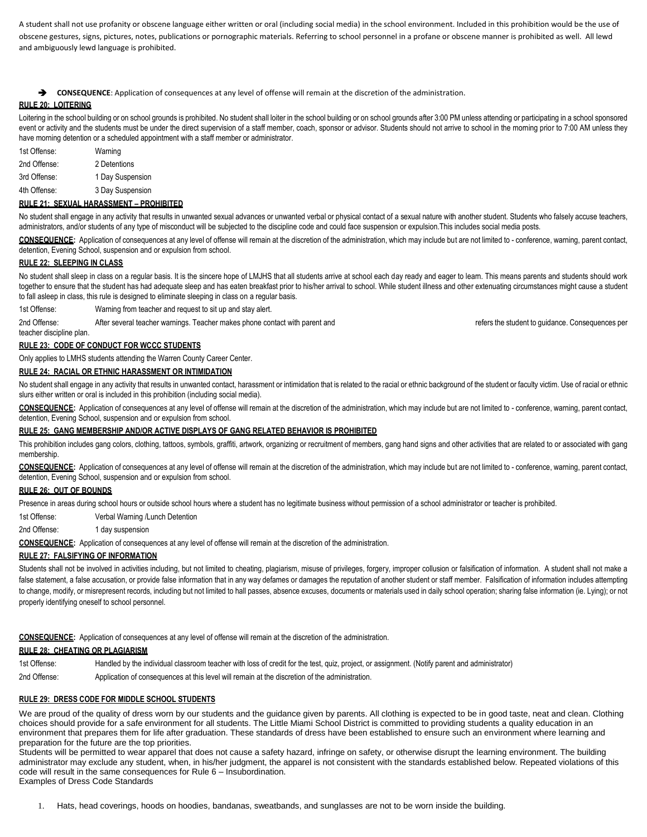A student shall not use profanity or obscene language either written or oral (including social media) in the school environment. Included in this prohibition would be the use of obscene gestures, signs, pictures, notes, publications or pornographic materials. Referring to school personnel in a profane or obscene manner is prohibited as well. All lewd and ambiguously lewd language is prohibited.

➔ **CONSEQUENCE**: Application of consequences at any level of offense will remain at the discretion of the administration.

# **RULE 20: LOITERING**

Loitering in the school building or on school grounds is prohibited. No student shall loiter in the school building or on school grounds after 3:00 PM unless attending or participating in a school sponsored event or activity and the students must be under the direct supervision of a staff member, coach, sponsor or advisor. Students should not arrive to school in the morning prior to 7:00 AM unless they have morning detention or a scheduled appointment with a staff member or administrator.

| 1st Offense: | Warning          |
|--------------|------------------|
| 2nd Offense: | 2 Detentions     |
| 3rd Offense: | 1 Day Suspension |
| 4th Offense: | 3 Day Suspension |

#### **RULE 21: SEXUAL HARASSMENT – PROHIBITED**

No student shall engage in any activity that results in unwanted sexual advances or unwanted verbal or physical contact of a sexual nature with another student. Students who falsely accuse teachers, administrators, and/or students of any type of misconduct will be subjected to the discipline code and could face suspension or expulsion.This includes social media posts.

**CONSEQUENCE:** Application of consequences at any level of offense will remain at the discretion of the administration, which may include but are not limited to - conference, warning, parent contact, detention, Evening School, suspension and or expulsion from school.

# **RULE 22: SLEEPING IN CLASS**

No student shall sleep in class on a regular basis. It is the sincere hope of LMJHS that all students arrive at school each day ready and eager to learn. This means parents and students should work together to ensure that the student has had adequate sleep and has eaten breakfast prior to his/her arrival to school. While student illness and other extenuating circumstances might cause a student to fall asleep in class, this rule is designed to eliminate sleeping in class on a regular basis.

1st Offense: Warning from teacher and request to sit up and stay alert.

2nd Offense: After several teacher warnings. Teacher makes phone contact with parent and **refers** the student to guidance. Consequences per teacher discipline plan.

#### **RULE 23: CODE OF CONDUCT FOR WCCC STUDENTS**

Only applies to LMHS students attending the Warren County Career Center.

# **RULE 24: RACIAL OR ETHNIC HARASSMENT OR INTIMIDATION**

No student shall engage in any activity that results in unwanted contact, harassment or intimidation that is related to the racial or ethnic background of the student or faculty victim. Use of racial or ethnic slurs either written or oral is included in this prohibition (including social media).

**CONSEQUENCE:** Application of consequences at any level of offense will remain at the discretion of the administration, which may include but are not limited to - conference, warning, parent contact, detention, Evening School, suspension and or expulsion from school.

#### **RULE 25: GANG MEMBERSHIP AND/OR ACTIVE DISPLAYS OF GANG RELATED BEHAVIOR IS PROHIBITED**

This prohibition includes gang colors, clothing, tattoos, symbols, graffiti, artwork, organizing or recruitment of members, gang hand signs and other activities that are related to or associated with gang membership.

**CONSEQUENCE:** Application of consequences at any level of offense will remain at the discretion of the administration, which may include but are not limited to - conference, warning, parent contact, detention, Evening School, suspension and or expulsion from school.

#### **RULE 26: OUT OF BOUNDS**

Presence in areas during school hours or outside school hours where a student has no legitimate business without permission of a school administrator or teacher is prohibited.

1st Offense: Verbal Warning /Lunch Detention

#### 2nd Offense: 1 day suspension

**CONSEQUENCE:** Application of consequences at any level of offense will remain at the discretion of the administration.

#### **RULE 27: FALSIFYING OF INFORMATION**

Students shall not be involved in activities including, but not limited to cheating, plagiarism, misuse of privileges, forgery, improper collusion or falsification of information. A student shall not make a false statement, a false accusation, or provide false information that in any way defames or damages the reputation of another student or staff member. Falsification of information includes attempting to change, modify, or misrepresent records, including but not limited to hall passes, absence excuses, documents or materials used in daily school operation; sharing false information (ie. Lying); or not properly identifying oneself to school personnel.

**CONSEQUENCE:** Application of consequences at any level of offense will remain at the discretion of the administration.

# **RULE 28: CHEATING OR PLAGIARISM**

1st Offense: Handled by the individual classroom teacher with loss of credit for the test, quiz, project, or assignment. (Notify parent and administrator)

2nd Offense: Application of consequences at this level will remain at the discretion of the administration.

#### **RULE 29: DRESS CODE FOR MIDDLE SCHOOL STUDENTS**

We are proud of the quality of dress worn by our students and the guidance given by parents. All clothing is expected to be in good taste, neat and clean. Clothing choices should provide for a safe environment for all students. The Little Miami School District is committed to providing students a quality education in an environment that prepares them for life after graduation. These standards of dress have been established to ensure such an environment where learning and preparation for the future are the top priorities.

Students will be permitted to wear apparel that does not cause a safety hazard, infringe on safety, or otherwise disrupt the learning environment. The building administrator may exclude any student, when, in his/her judgment, the apparel is not consistent with the standards established below. Repeated violations of this code will result in the same consequences for Rule 6 – Insubordination.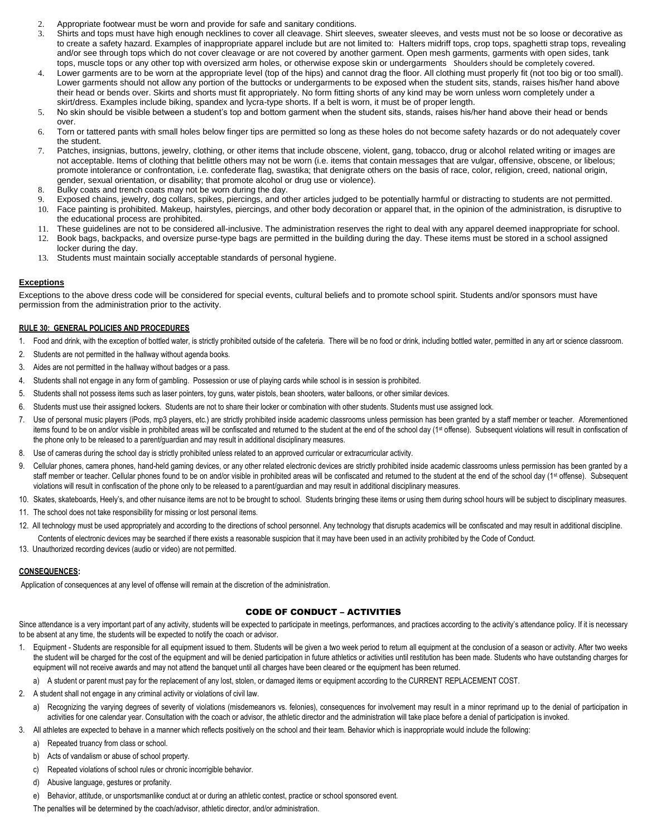- 2. Appropriate footwear must be worn and provide for safe and sanitary conditions.
- 3. Shirts and tops must have high enough necklines to cover all cleavage. Shirt sleeves, sweater sleeves, and vests must not be so loose or decorative as to create a safety hazard. Examples of inappropriate apparel include but are not limited to: Halters midriff tops, crop tops, spaghetti strap tops, revealing and/or see through tops which do not cover cleavage or are not covered by another garment. Open mesh garments, garments with open sides, tank tops, muscle tops or any other top with oversized arm holes, or otherwise expose skin or undergarments Shoulders should be completely covered.
- 4. Lower garments are to be worn at the appropriate level (top of the hips) and cannot drag the floor. All clothing must properly fit (not too big or too small). Lower garments should not allow any portion of the buttocks or undergarments to be exposed when the student sits, stands, raises his/her hand above their head or bends over. Skirts and shorts must fit appropriately. No form fitting shorts of any kind may be worn unless worn completely under a skirt/dress. Examples include biking, spandex and lycra-type shorts. If a belt is worn, it must be of proper length.
- 5. No skin should be visible between a student's top and bottom garment when the student sits, stands, raises his/her hand above their head or bends over.
- 6. Torn or tattered pants with small holes below finger tips are permitted so long as these holes do not become safety hazards or do not adequately cover the student.
- 7. Patches, insignias, buttons, jewelry, clothing, or other items that include obscene, violent, gang, tobacco, drug or alcohol related writing or images are not acceptable. Items of clothing that belittle others may not be worn (i.e. items that contain messages that are vulgar, offensive, obscene, or libelous; promote intolerance or confrontation, i.e. confederate flag, swastika; that denigrate others on the basis of race, color, religion, creed, national origin, gender, sexual orientation, or disability; that promote alcohol or drug use or violence).
- 8. Bulky coats and trench coats may not be worn during the day.
- 9. Exposed chains, jewelry, dog collars, spikes, piercings, and other articles judged to be potentially harmful or distracting to students are not permitted.
- 10. Face painting is prohibited. Makeup, hairstyles, piercings, and other body decoration or apparel that, in the opinion of the administration, is disruptive to the educational process are prohibited.
- 11. These guidelines are not to be considered all-inclusive. The administration reserves the right to deal with any apparel deemed inappropriate for school.
- 12. Book bags, backpacks, and oversize purse-type bags are permitted in the building during the day. These items must be stored in a school assigned locker during the day.
- 13. Students must maintain socially acceptable standards of personal hygiene.

# **Exceptions**

Exceptions to the above dress code will be considered for special events, cultural beliefs and to promote school spirit. Students and/or sponsors must have permission from the administration prior to the activity.

#### **RULE 30: GENERAL POLICIES AND PROCEDURES**

- 1. Food and drink, with the exception of bottled water, is strictly prohibited outside of the cafeteria. There will be no food or drink, including bottled water, permitted in any art or science classroom.
- 2. Students are not permitted in the hallway without agenda books.
- 3. Aides are not permitted in the hallway without badges or a pass.
- 4. Students shall not engage in any form of gambling. Possession or use of playing cards while school is in session is prohibited.
- 5. Students shall not possess items such as laser pointers, toy guns, water pistols, bean shooters, water balloons, or other similar devices.
- 6. Students must use their assigned lockers. Students are not to share their locker or combination with other students. Students must use assigned lock.
- 7. Use of personal music players (iPods, mp3 players, etc.) are strictly prohibited inside academic classrooms unless permission has been granted by a staff member or teacher. Aforementioned items found to be on and/or visible in prohibited areas will be confiscated and returned to the student at the end of the school day (1<sup>st</sup> offense). Subsequent violations will result in confiscation of the phone only to be released to a parent/guardian and may result in additional disciplinary measures.
- 8. Use of cameras during the school day is strictly prohibited unless related to an approved curricular or extracurricular activity.
- 9. Cellular phones, camera phones, hand-held gaming devices, or any other related electronic devices are strictly prohibited inside academic classrooms unless permission has been granted by a staff member or teacher. Cellular phones found to be on and/or visible in prohibited areas will be confiscated and returned to the student at the end of the school day (1st offense). Subsequent violations will result in confiscation of the phone only to be released to a parent/guardian and may result in additional disciplinary measures.
- 10. Skates, skateboards, Heely's, and other nuisance items are not to be brought to school. Students bringing these items or using them during school hours will be subject to disciplinary measures.
- 11. The school does not take responsibility for missing or lost personal items.
- 12. All technology must be used appropriately and according to the directions of school personnel. Any technology that disrupts academics will be confiscated and may result in additional discipline. Contents of electronic devices may be searched if there exists a reasonable suspicion that it may have been used in an activity prohibited by the Code of Conduct.
- 13. Unauthorized recording devices (audio or video) are not permitted.

#### **CONSEQUENCES:**

Application of consequences at any level of offense will remain at the discretion of the administration.

# CODE OF CONDUCT – ACTIVITIES

Since attendance is a very important part of any activity, students will be expected to participate in meetings, performances, and practices according to the activity's attendance policy. If it is necessary to be absent at any time, the students will be expected to notify the coach or advisor.

- 1. Equipment Students are responsible for all equipment issued to them. Students will be given a two week period to return all equipment at the conclusion of a season or activity. After two weeks the student will be charged for the cost of the equipment and will be denied participation in future athletics or activities until restitution has been made. Students who have outstanding charges for equipment will not receive awards and may not attend the banquet until all charges have been cleared or the equipment has been returned.
- a) A student or parent must pay for the replacement of any lost, stolen, or damaged items or equipment according to the CURRENT REPLACEMENT COST.
- 2. A student shall not engage in any criminal activity or violations of civil law.
	- Recognizing the varying degrees of severity of violations (misdemeanors vs. felonies), consequences for involvement may result in a minor reprimand up to the denial of participation in activities for one calendar year. Consultation with the coach or advisor, the athletic director and the administration will take place before a denial of participation is invoked.
- 3. All athletes are expected to behave in a manner which reflects positively on the school and their team. Behavior which is inappropriate would include the following:
	- a) Repeated truancy from class or school.
	- b) Acts of vandalism or abuse of school property.
	- c) Repeated violations of school rules or chronic incorrigible behavior.
	- d) Abusive language, gestures or profanity.
	- e) Behavior, attitude, or unsportsmanlike conduct at or during an athletic contest, practice or school sponsored event.

The penalties will be determined by the coach/advisor, athletic director, and/or administration.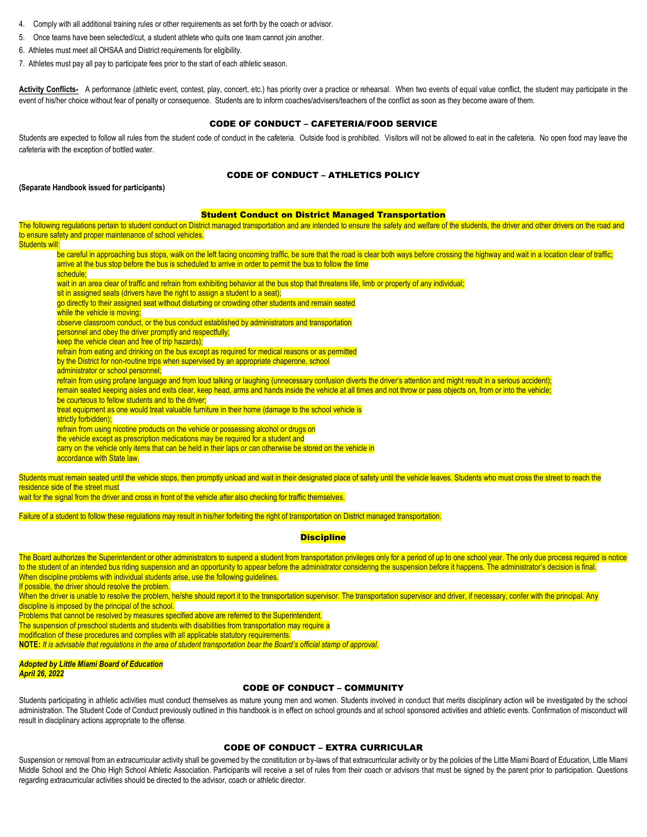- 4. Comply with all additional training rules or other requirements as set forth by the coach or advisor.
- 5. Once teams have been selected/cut, a student athlete who quits one team cannot join another.
- 6. Athletes must meet all OHSAA and District requirements for eligibility.
- 7. Athletes must pay all pay to participate fees prior to the start of each athletic season.

Activity Conflicts- A performance (athletic event, contest, play, concert, etc.) has priority over a practice or rehearsal. When two events of equal value conflict, the student may participate in the event of his/her choice without fear of penalty or consequence. Students are to inform coaches/advisers/teachers of the conflict as soon as they become aware of them.

# CODE OF CONDUCT – CAFETERIA/FOOD SERVICE

Students are expected to follow all rules from the student code of conduct in the cafeteria. Outside food is prohibited. Visitors will not be allowed to eat in the cafeteria. No open food may leave the cafeteria with the exception of bottled water.

### CODE OF CONDUCT – ATHLETICS POLICY

#### **(Separate Handbook issued for participants)**

#### Student Conduct on District Managed Transportation

The following regulations pertain to student conduct on District managed transportation and are intended to ensure the safety and welfare of the students, the driver and other drivers on the road and to ensure safety and proper maintenance of school vehicles.

Students will:

| be careful in approaching bus stops, walk on the left facing oncoming traffic, be sure that the road is clear both ways before crossing the highway and wait in a location clear of traffic; |  |
|----------------------------------------------------------------------------------------------------------------------------------------------------------------------------------------------|--|
| arrive at the bus stop before the bus is scheduled to arrive in order to permit the bus to follow the time                                                                                   |  |
| schedule:                                                                                                                                                                                    |  |

wait in an area clear of traffic and refrain from exhibiting behavior at the bus stop that threatens life, limb or property of any individual;

sit in assigned seats (drivers have the right to assign a student to a seat);

go directly to their assigned seat without disturbing or crowding other students and remain seated

while the vehicle is moving;

observe classroom conduct, or the bus conduct established by administrators and transportation

personnel and obey the driver promptly and respectfully;

keep the vehicle clean and free of trip hazards);

refrain from eating and drinking on the bus except as required for medical reasons or as permitted

by the District for non-routine trips when supervised by an appropriate chaperone, school

administrator or school personnel;

refrain from using profane language and from loud talking or laughing (unnecessary confusion diverts the driver's attention and might result in a serious accident); remain seated keeping aisles and exits clear, keep head, arms and hands inside the vehicle at all times and not throw or pass objects on, from or into the vehicle;

be courteous to fellow students and to the driver:

treat equipment as one would treat valuable furniture in their home (damage to the school vehicle is

strictly forbidden);

refrain from using nicotine products on the vehicle or possessing alcohol or drugs on

the vehicle except as prescription medications may be required for a student and

carry on the vehicle only items that can be held in their laps or can otherwise be stored on the vehicle in

accordance with State law.

Students must remain seated until the vehicle stops, then promptly unload and wait in their designated place of safety until the vehicle leaves. Students who must cross the street to reach the residence side of the street must

wait for the signal from the driver and cross in front of the vehicle after also checking for traffic themselves.

Failure of a student to follow these regulations may result in his/her forfeiting the right of transportation on District managed transportation.

#### **Discipline**

The Board authorizes the Superintendent or other administrators to suspend a student from transportation privileges only for a period of up to one school year. The only due process required is notice to the student of an intended bus riding suspension and an opportunity to appear before the administrator considering the suspension before it happens. The administrator's decision is final. When discipline problems with individual students arise, use the following guidelines.

If possible, the driver should resolve the problem.

When the driver is unable to resolve the problem, he/she should report it to the transportation supervisor. The transportation supervisor and driver, if necessary, confer with the principal. Any discipline is imposed by the principal of the school.

Problems that cannot be resolved by measures specified above are referred to the Superintendent.

The suspension of preschool students and students with disabilities from transportation may require a

modification of these procedures and complies with all applicable statutory requirements.

**NOTE:** *It is advisable that regulations in the area of student transportation bear the Board's official stamp of approval.*

#### *Adopted by Little Miami Board of Education April 26, 2022*

#### CODE OF CONDUCT – COMMUNITY

Students participating in athletic activities must conduct themselves as mature young men and women. Students involved in conduct that merits disciplinary action will be investigated by the school administration. The Student Code of Conduct previously outlined in this handbook is in effect on school grounds and at school sponsored activities and athletic events. Confirmation of misconduct will result in disciplinary actions appropriate to the offense.

#### CODE OF CONDUCT – EXTRA CURRICULAR

Suspension or removal from an extracurricular activity shall be governed by the constitution or by-laws of that extracurricular activity or by the policies of the Little Miami Board of Education, Little Miami Middle School and the Ohio High School Athletic Association. Participants will receive a set of rules from their coach or advisors that must be signed by the parent prior to participation. Questions regarding extracurricular activities should be directed to the advisor, coach or athletic director.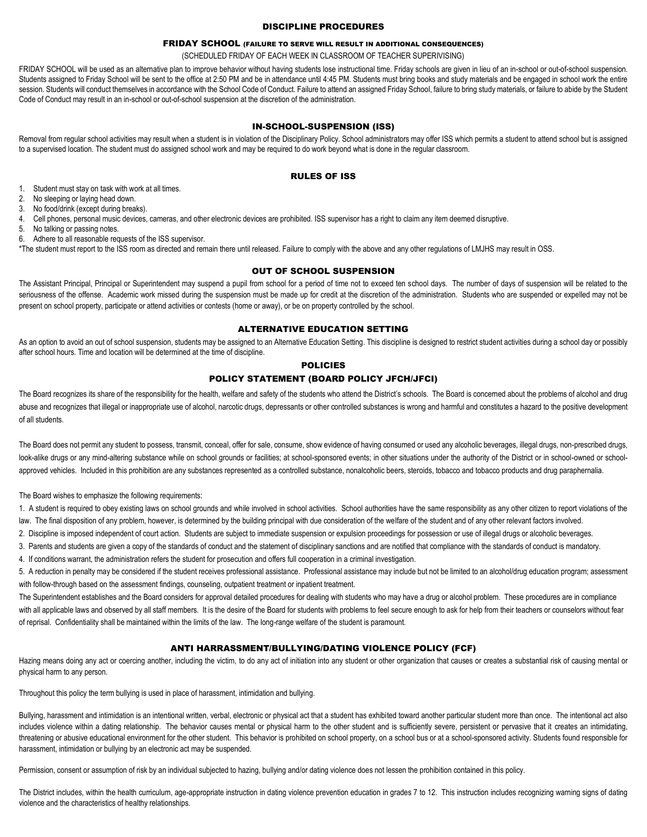#### DISCIPLINE PROCEDURES

# FRIDAY SCHOOL (FAILURE TO SERVE WILL RESULT IN ADDITIONAL CONSEQUENCES)

(SCHEDULED FRIDAY OF EACH WEEK IN CLASSROOM OF TEACHER SUPERIVISING)

FRIDAY SCHOOL will be used as an alternative plan to improve behavior without having students lose instructional time. Friday schools are given in lieu of an in-school or out-of-school suspension. Students assigned to Friday School will be sent to the office at 2:50 PM and be in attendance until 4:45 PM. Students must bring books and study materials and be engaged in school work the entire session. Students will conduct themselves in accordance with the School Code of Conduct. Failure to attend an assigned Friday School, failure to bring study materials, or failure to abide by the Student Code of Conduct may result in an in-school or out-of-school suspension at the discretion of the administration.

#### IN-SCHOOL-SUSPENSION (ISS)

Removal from regular school activities may result when a student is in violation of the Disciplinary Policy. School administrators may offer ISS which permits a student to attend school but is assigned to a supervised location. The student must do assigned school work and may be required to do work beyond what is done in the regular classroom.

#### RULES OF ISS

- 1. Student must stay on task with work at all times.
- 2. No sleeping or laying head down.
- 3. No food/drink (except during breaks).
- 4. Cell phones, personal music devices, cameras, and other electronic devices are prohibited. ISS supervisor has a right to claim any item deemed disruptive.
- 5. No talking or passing notes.
- 6. Adhere to all reasonable requests of the ISS supervisor.

\*The student must report to the ISS room as directed and remain there until released. Failure to comply with the above and any other regulations of LMJHS may result in OSS.

#### OUT OF SCHOOL SUSPENSION

The Assistant Principal, Principal or Superintendent may suspend a pupil from school for a period of time not to exceed ten school days. The number of days of suspension will be related to the seriousness of the offense. Academic work missed during the suspension must be made up for credit at the discretion of the administration. Students who are suspended or expelled may not be present on school property, participate or attend activities or contests (home or away), or be on property controlled by the school.

#### ALTERNATIVE EDUCATION SETTING

As an option to avoid an out of school suspension, students may be assigned to an Alternative Education Setting. This discipline is designed to restrict student activities during a school day or possibly after school hours. Time and location will be determined at the time of discipline.

# POLICIES

# POLICY STATEMENT (BOARD POLICY JFCH/JFCI)

The Board recognizes its share of the responsibility for the health, welfare and safety of the students who attend the District's schools. The Board is concerned about the problems of alcohol and drug abuse and recognizes that illegal or inappropriate use of alcohol, narcotic drugs, depressants or other controlled substances is wrong and harmful and constitutes a hazard to the positive development of all students.

The Board does not permit any student to possess, transmit, conceal, offer for sale, consume, show evidence of having consumed or used any alcoholic beverages, illegal drugs, non-prescribed drugs, look-alike drugs or any mind-altering substance while on school grounds or facilities; at school-sponsored events; in other situations under the authority of the District or in school-owned or schoolapproved vehicles. Included in this prohibition are any substances represented as a controlled substance, nonalcoholic beers, steroids, tobacco and tobacco products and drug paraphernalia.

The Board wishes to emphasize the following requirements:

1. A student is required to obey existing laws on school grounds and while involved in school activities. School authorities have the same responsibility as any other citizen to report violations of the law. The final disposition of any problem, however, is determined by the building principal with due consideration of the welfare of the student and of any other relevant factors involved.

2. Discipline is imposed independent of court action. Students are subject to immediate suspension or expulsion proceedings for possession or use of illegal drugs or alcoholic beverages.

3. Parents and students are given a copy of the standards of conduct and the statement of disciplinary sanctions and are notified that compliance with the standards of conduct is mandatory.

4. If conditions warrant, the administration refers the student for prosecution and offers full cooperation in a criminal investigation.

5. A reduction in penalty may be considered if the student receives professional assistance. Professional assistance may include but not be limited to an alcohol/drug education program; assessment with follow-through based on the assessment findings, counseling, outpatient treatment or inpatient treatment.

The Superintendent establishes and the Board considers for approval detailed procedures for dealing with students who may have a drug or alcohol problem. These procedures are in compliance with all applicable laws and observed by all staff members. It is the desire of the Board for students with problems to feel secure enough to ask for help from their teachers or counselors without fear of reprisal. Confidentiality shall be maintained within the limits of the law. The long-range welfare of the student is paramount.

#### ANTI HARRASSMENT/BULLYING/DATING VIOLENCE POLICY (FCF)

Hazing means doing any act or coercing another, including the victim, to do any act of initiation into any student or other organization that causes or creates a substantial risk of causing mental or physical harm to any person.

Throughout this policy the term bullying is used in place of harassment, intimidation and bullying.

Bullying, harassment and intimidation is an intentional written, verbal, electronic or physical act that a student has exhibited toward another particular student more than once. The intentional act also includes violence within a dating relationship. The behavior causes mental or physical harm to the other student and is sufficiently severe, persistent or pervasive that it creates an intimidating, threatening or abusive educational environment for the other student. This behavior is prohibited on school property, on a school bus or at a school-sponsored activity. Students found responsible for harassment, intimidation or bullying by an electronic act may be suspended.

Permission, consent or assumption of risk by an individual subjected to hazing, bullying and/or dating violence does not lessen the prohibition contained in this policy.

The District includes, within the health curriculum, age-appropriate instruction in dating violence prevention education in grades 7 to 12. This instruction includes recognizing warning signs of dating violence and the characteristics of healthy relationships.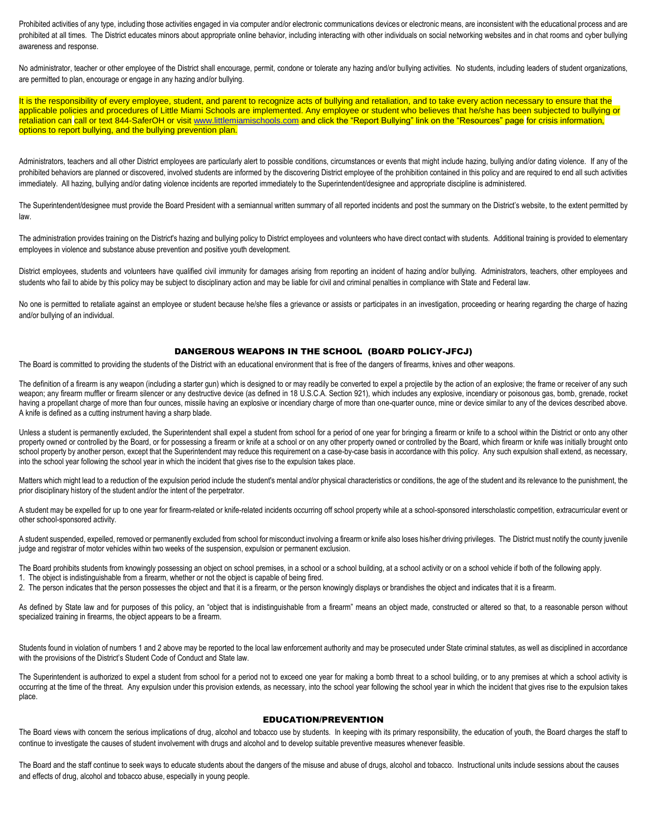Prohibited activities of any type, including those activities engaged in via computer and/or electronic communications devices or electronic means, are inconsistent with the educational process and are prohibited at all times. The District educates minors about appropriate online behavior, including interacting with other individuals on social networking websites and in chat rooms and cyber bullying awareness and response.

No administrator, teacher or other employee of the District shall encourage, permit, condone or tolerate any hazing and/or bullying activities. No students, including leaders of student organizations, are permitted to plan, encourage or engage in any hazing and/or bullying.

It is the responsibility of every employee, student, and parent to recognize acts of bullying and retaliation, and to take every action necessary to ensure that the applicable policies and procedures of Little Miami Schools are implemented. Any employee or student who believes that he/she has been subjected to bullying or retaliation can call or text 844-SaferOH or visi[t www.littlemiamischools.com](http://www.littlemiamischools.com/) and click the "Report Bullying" link on the "Resources" page for crisis information, options to report bullying, and the bullying prevention plan.

Administrators, teachers and all other District employees are particularly alert to possible conditions, circumstances or events that might include hazing, bullying and/or dating violence. If any of the prohibited behaviors are planned or discovered, involved students are informed by the discovering District employee of the prohibition contained in this policy and are required to end all such activities immediately. All hazing, bullying and/or dating violence incidents are reported immediately to the Superintendent/designee and appropriate discipline is administered.

The Superintendent/designee must provide the Board President with a semiannual written summary of all reported incidents and post the summary on the District's website, to the extent permitted by law.

The administration provides training on the District's hazing and bullying policy to District employees and volunteers who have direct contact with students. Additional training is provided to elementary employees in violence and substance abuse prevention and positive youth development.

District employees, students and volunteers have qualified civil immunity for damages arising from reporting an incident of hazing and/or bullying. Administrators, teachers, other employees and students who fail to abide by this policy may be subject to disciplinary action and may be liable for civil and criminal penalties in compliance with State and Federal law.

No one is permitted to retaliate against an employee or student because he/she files a grievance or assists or participates in an investigation, proceeding or hearing regarding the charge of hazing and/or bullying of an individual.

#### DANGEROUS WEAPONS IN THE SCHOOL (BOARD POLICY-JFCJ)

The Board is committed to providing the students of the District with an educational environment that is free of the dangers of firearms, knives and other weapons.

The definition of a firearm is any weapon (including a starter gun) which is designed to or may readily be converted to expel a projectile by the action of an explosive; the frame or receiver of any such weapon; any firearm muffler or firearm silencer or any destructive device (as defined in 18 U.S.C.A. Section 921), which includes any explosive, incendiary or poisonous gas, bomb, grenade, rocket having a propellant charge of more than four ounces, missile having an explosive or incendiary charge of more than one-quarter ounce, mine or device similar to any of the devices described above. A knife is defined as a cutting instrument having a sharp blade.

Unless a student is permanently excluded, the Superintendent shall expel a student from school for a period of one year for bringing a firearm or knife to a school within the District or onto any other property owned or controlled by the Board, or for possessing a firearm or knife at a school or on any other property owned or controlled by the Board, which firearm or knife was initially brought onto school property by another person, except that the Superintendent may reduce this requirement on a case-by-case basis in accordance with this policy. Any such expulsion shall extend, as necessary, into the school year following the school year in which the incident that gives rise to the expulsion takes place.

Matters which might lead to a reduction of the expulsion period include the student's mental and/or physical characteristics or conditions, the age of the student and its relevance to the punishment, the prior disciplinary history of the student and/or the intent of the perpetrator.

A student may be expelled for up to one year for firearm-related or knife-related incidents occurring off school property while at a school-sponsored interscholastic competition, extracurricular event or other school-sponsored activity.

A student suspended, expelled, removed or permanently excluded from school for misconduct involving a firearm or knife also loses his/her driving privileges. The District must notify the county juvenile judge and registrar of motor vehicles within two weeks of the suspension, expulsion or permanent exclusion.

The Board prohibits students from knowingly possessing an object on school premises, in a school or a school actioid and activity or on a school vehicle if both of the following apply.

1. The object is indistinguishable from a firearm, whether or not the object is capable of being fired.

2. The person indicates that the person possesses the object and that it is a firearm, or the person knowingly displays or brandishes the object and indicates that it is a firearm.

As defined by State law and for purposes of this policy, an "object that is indistinguishable from a firearm" means an object made, constructed or altered so that, to a reasonable person without specialized training in firearms, the object appears to be a firearm.

Students found in violation of numbers 1 and 2 above may be reported to the local law enforcement authority and may be prosecuted under State criminal statutes, as well as disciplined in accordance with the provisions of the District's Student Code of Conduct and State law.

The Superintendent is authorized to expel a student from school for a period not to exceed one year for making a bomb threat to a school building, or to any premises at which a school activity is occurring at the time of the threat. Any expulsion under this provision extends, as necessary, into the school year following the school year in which the incident that gives rise to the expulsion takes place.

#### EDUCATION/PREVENTION

The Board views with concern the serious implications of drug, alcohol and tobacco use by students. In keeping with its primary responsibility, the education of youth, the Board charges the staff to continue to investigate the causes of student involvement with drugs and alcohol and to develop suitable preventive measures whenever feasible.

The Board and the staff continue to seek ways to educate students about the dangers of the misuse and abuse of drugs, alcohol and tobacco. Instructional units include sessions about the causes and effects of drug, alcohol and tobacco abuse, especially in young people.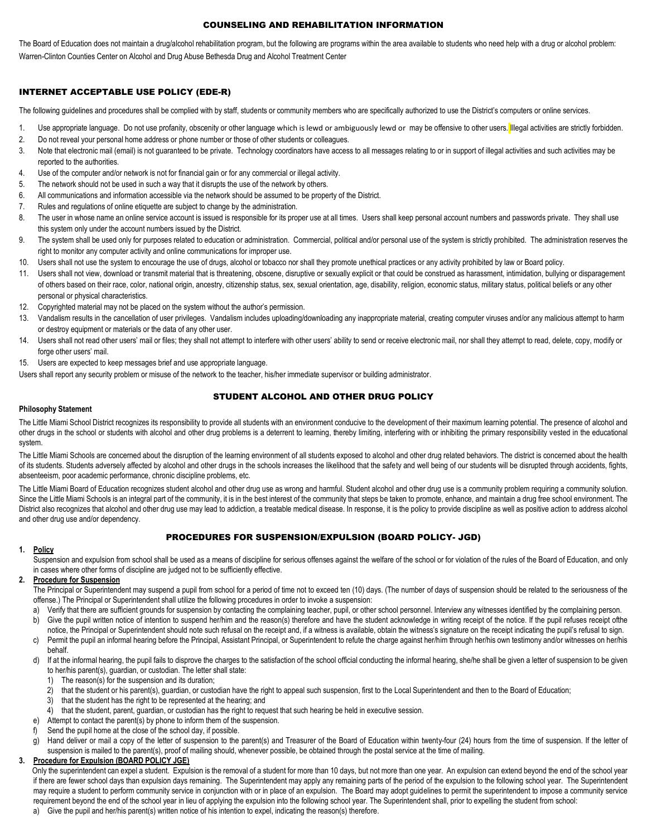#### COUNSELING AND REHABILITATION INFORMATION

The Board of Education does not maintain a drug/alcohol rehabilitation program, but the following are programs within the area available to students who need help with a drug or alcohol problem: Warren-Clinton Counties Center on Alcohol and Drug Abuse Bethesda Drug and Alcohol Treatment Center

# INTERNET ACCEPTABLE USE POLICY (EDE-R)

The following guidelines and procedures shall be complied with by staff, students or community members who are specifically authorized to use the District's computers or online services.

- 1. Use appropriate language. Do not use profanity, obscenity or other language which is lewd or ambiguously lewd or may be offensive to other users. Illegal activities are strictly forbidden.
- 2. Do not reveal your personal home address or phone number or those of other students or colleagues.
- 3. Note that electronic mail (email) is not guaranteed to be private. Technology coordinators have access to all messages relating to or in support of illegal activities and such activities may be reported to the authorities.
- 4. Use of the computer and/or network is not for financial gain or for any commercial or illegal activity.
- 5. The network should not be used in such a way that it disrupts the use of the network by others.
- 6. All communications and information accessible via the network should be assumed to be property of the District.
- 7. Rules and regulations of online etiquette are subject to change by the administration.
- 8. The user in whose name an online service account is issued is responsible for its proper use at all times. Users shall keep personal account numbers and passwords private. They shall use this system only under the account numbers issued by the District.
- 9. The system shall be used only for purposes related to education or administration. Commercial, political and/or personal use of the system is strictly prohibited. The administration reserves the right to monitor any computer activity and online communications for improper use.
- 10. Users shall not use the system to encourage the use of drugs, alcohol or tobacco nor shall they promote unethical practices or any activity prohibited by law or Board policy.
- 11. Users shall not view, download or transmit material that is threatening, obscene, disruptive or sexually explicit or that could be construed as harassment, intimidation, bullying or disparagement of others based on their race, color, national origin, ancestry, citizenship status, sex, sexual orientation, age, disability, religion, economic status, military status, political beliefs or any other personal or physical characteristics.
- 12. Copyrighted material may not be placed on the system without the author's permission.
- 13. Vandalism results in the cancellation of user privileges. Vandalism includes uploading/downloading any inappropriate material, creating computer viruses and/or any malicious attempt to harm or destroy equipment or materials or the data of any other user.
- 14. Users shall not read other users' mail or files; they shall not attempt to interfere with other users' ability to send or receive electronic mail, nor shall they attempt to read, delete, copy, modify or forge other users' mail.
- 15. Users are expected to keep messages brief and use appropriate language.
- Users shall report any security problem or misuse of the network to the teacher, his/her immediate supervisor or building administrator.

# STUDENT ALCOHOL AND OTHER DRUG POLICY

#### **Philosophy Statement**

The Little Miami School District recognizes its responsibility to provide all students with an environment conducive to the development of their maximum learning potential. The presence of alcohol and other drugs in the school or students with alcohol and other drug problems is a deterrent to learning, thereby limiting, interfering with or inhibiting the primary responsibility vested in the educational system.

The Little Miami Schools are concerned about the disruption of the learning environment of all students exposed to alcohol and other drug related behaviors. The district is concerned about the health of its students. Students adversely affected by alcohol and other drugs in the schools increases the likelihood that the safety and well being of our students will be disrupted through accidents, fights, absenteeism, poor academic performance, chronic discipline problems, etc.

The Little Miami Board of Education recognizes student alcohol and other drug use as wrong and harmful. Student alcohol and other drug use is a community problem requiring a community solution. Since the Little Miami Schools is an integral part of the community, it is in the best interest of the community that steps be taken to promote, enhance, and maintain a drug free school environment. The District also recognizes that alcohol and other drug use may lead to addiction, a treatable medical disease. In response, it is the policy to provide discipline as well as positive action to address alcohol and other drug use and/or dependency.

# PROCEDURES FOR SUSPENSION/EXPULSION (BOARD POLICY- JGD)

#### **1. Policy**

Suspension and expulsion from school shall be used as a means of discipline for serious offenses against the welfare of the school or for violation of the rules of the Board of Education, and only in cases where other forms of discipline are judged not to be sufficiently effective.

# **2. Procedure for Suspension**

The Principal or Superintendent may suspend a pupil from school for a period of time not to exceed ten (10) days. (The number of days of suspension should be related to the seriousness of the offense.) The Principal or Superintendent shall utilize the following procedures in order to invoke a suspension:

- a) Verify that there are sufficient grounds for suspension by contacting the complaining teacher, pupil, or other school personnel. Interview any witnesses identified by the complaining person.
- b) Give the pupil written notice of intention to suspend her/him and the reason(s) therefore and have the student acknowledge in writing receipt of the notice. If the pupil refuses receipt of the
- notice, the Principal or Superintendent should note such refusal on the receipt and, if a witness is available, obtain the witness's signature on the receipt indicating the pupil's refusal to sign. c) Permit the pupil an informal hearing before the Principal, Assistant Principal, or Superintendent to refute the charge against her/him through her/his own testimony and/or witnesses on her/his behalf.
- d) If at the informal hearing, the pupil fails to disprove the charges to the satisfaction of the school official conducting the informal hearing, she/he shall be given a letter of suspension to be given to her/his parent(s), guardian, or custodian. The letter shall state:
	- 1) The reason(s) for the suspension and its duration;
	- 2) that the student or his parent(s), guardian, or custodian have the right to appeal such suspension, first to the Local Superintendent and then to the Board of Education;
	- 3) that the student has the right to be represented at the hearing; and
	- 4) that the student, parent, guardian, or custodian has the right to request that such hearing be held in executive session.
- e) Attempt to contact the parent(s) by phone to inform them of the suspension.
- Send the pupil home at the close of the school day, if possible.
- g) Hand deliver or mail a copy of the letter of suspension to the parent(s) and Treasurer of the Board of Education within twenty-four (24) hours from the time of suspension. If the letter of

#### suspension is mailed to the parent(s), proof of mailing should, whenever possible, be obtained through the postal service at the time of mailing. **3. Procedure for Expulsion (BOARD POLICY JGE)**

Only the superintendent can expel a student. Expulsion is the removal of a student for more than 10 days, but not more than one year. An expulsion can extend beyond the end of the school year if there are fewer school days than expulsion days remaining. The Superintendent may apply any remaining parts of the period of the expulsion to the following school year. The Superintendent may require a student to perform community service in conjunction with or in place of an expulsion. The Board may adopt guidelines to permit the superintendent to impose a community service requirement beyond the end of the school year in lieu of applying the expulsion into the following school year. The Superintendent shall, prior to expelling the student from school:

a) Give the pupil and her/his parent(s) written notice of his intention to expel, indicating the reason(s) therefore.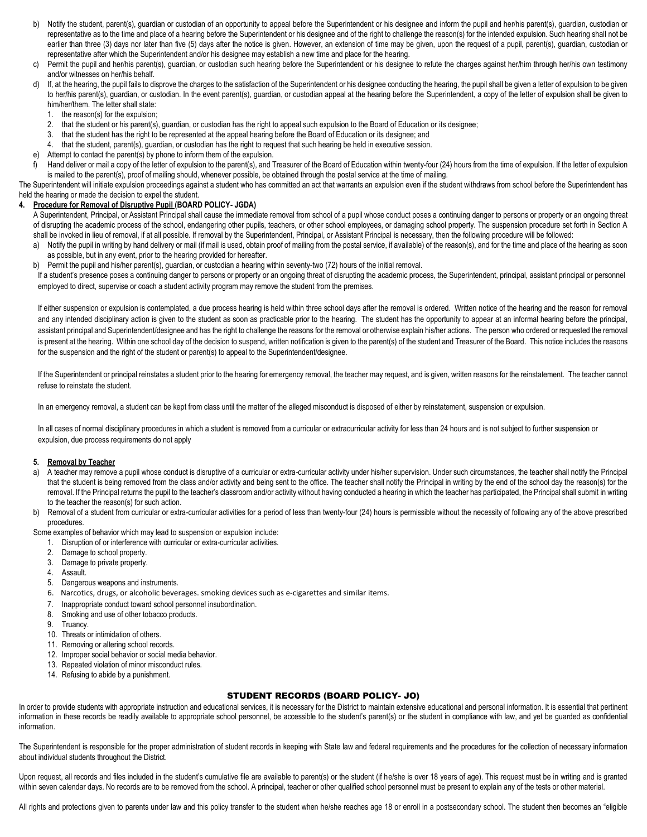- b) Notify the student, parent(s), guardian or custodian of an opportunity to appeal before the Superintendent or his designee and inform the pupil and her/his parent(s), guardian, custodian or representative as to the time and place of a hearing before the Superintendent or his designee and of the right to challenge the reason(s) for the intended expulsion. Such hearing shall not be earlier than three (3) days nor later than five (5) days after the notice is given. However, an extension of time may be given, upon the request of a pupil, parent(s), guardian, custodian or representative after which the Superintendent and/or his designee may establish a new time and place for the hearing.
- c) Permit the pupil and her/his parent(s), guardian, or custodian such hearing before the Superintendent or his designee to refute the charges against her/him through her/his own testimony and/or witnesses on her/his behalf.
- d) If, at the hearing, the pupil fails to disprove the charges to the satisfaction of the Superintendent or his designee conducting the hearing, the pupil shall be given a letter of expulsion to be given to her/his parent(s), guardian, or custodian. In the event parent(s), guardian, or custodian appeal at the hearing before the Superintendent, a copy of the letter of expulsion shall be given to him/her/them. The letter shall state:
	- 1. the reason(s) for the expulsion;
	- 2. that the student or his parent(s), guardian, or custodian has the right to appeal such expulsion to the Board of Education or its designee;
	- 3. that the student has the right to be represented at the appeal hearing before the Board of Education or its designee; and
	- that the student, parent(s), guardian, or custodian has the right to request that such hearing be held in executive session.
- e) Attempt to contact the parent(s) by phone to inform them of the expulsion.
- f) Hand deliver or mail a copy of the letter of expulsion to the parent(s), and Treasurer of the Board of Education within twenty-four (24) hours from the time of expulsion. If the letter of expulsion is mailed to the parent(s), proof of mailing should, whenever possible, be obtained through the postal service at the time of mailing.

The Superintendent will initiate expulsion proceedings against a student who has committed an act that warrants an expulsion even if the student withdraws from school before the Superintendent has held the hearing or made the decision to expel the student.

# **4. Procedure for Removal of Disruptive Pupil (BOARD POLICY- JGDA)**

A Superintendent, Principal, or Assistant Principal shall cause the immediate removal from school of a pupil whose conduct poses a continuing danger to persons or property or an ongoing threat of disrupting the academic process of the school, endangering other pupils, teachers, or other school employees, or damaging school property. The suspension procedure set forth in Section A shall be invoked in lieu of removal, if at all possible. If removal by the Superintendent, Principal, or Assistant Principal is necessary, then the following procedure will be followed:

- a) Notify the pupil in writing by hand delivery or mail (if mail is used, obtain proof of mailing from the postal service, if available) of the reason(s), and for the time and place of the hearing as soon as possible, but in any event, prior to the hearing provided for hereafter.
- b) Permit the pupil and his/her parent(s), guardian, or custodian a hearing within seventy-two (72) hours of the initial removal.

If a student's presence poses a continuing danger to persons or property or an ongoing threat of disrupting the academic process, the Superintendent, principal, assistant principal or personnel employed to direct, supervise or coach a student activity program may remove the student from the premises.

If either suspension or expulsion is contemplated, a due process hearing is held within three school days after the removal is ordered. Written notice of the hearing and the reason for removal and any intended disciplinary action is given to the student as soon as practicable prior to the hearing. The student has the opportunity to appear at an informal hearing before the principal, assistant principal and Superintendent/designee and has the right to challenge the reasons for the removal or otherwise explain his/her actions. The person who ordered or requested the removal is present at the hearing. Within one school day of the decision to suspend, written notification is given to the parent(s) of the student and Treasurer of the Board. This notice includes the reasons for the suspension and the right of the student or parent(s) to appeal to the Superintendent/designee.

If the Superintendent or principal reinstates a student prior to the hearing for emergency removal, the teacher may request, and is given, written reasons for the reinstatement. The teacher cannot refuse to reinstate the student.

In an emergency removal, a student can be kept from class until the matter of the alleged misconduct is disposed of either by reinstatement, suspension or expulsion.

In all cases of normal disciplinary procedures in which a student is removed from a curricular or extracurricular activity for less than 24 hours and is not subject to further suspension or expulsion, due process requirements do not apply

#### **5. Removal by Teacher**

- a) A teacher may remove a pupil whose conduct is disruptive of a curricular or extra-curricular activity under his/her supervision. Under such circumstances, the teacher shall notify the Principal that the student is being removed from the class and/or activity and being sent to the office. The teacher shall notify the Principal in writing by the end of the school day the reason(s) for the removal. If the Principal returns the pupil to the teacher's classroom and/or activity without having conducted a hearing in which the teacher has participated, the Principal shall submit in writing to the teacher the reason(s) for such action.
- b) Removal of a student from curricular or extra-curricular activities for a period of less than twenty-four (24) hours is permissible without the necessity of following any of the above prescribed procedures.
- Some examples of behavior which may lead to suspension or expulsion include:
	- 1. Disruption of or interference with curricular or extra-curricular activities.
	- 2. Damage to school property.
	- 3. Damage to private property.
	- 4. Assault.
	- 5. Dangerous weapons and instruments.
	- 6. Narcotics, drugs, or alcoholic beverages. smoking devices such as e-cigarettes and similar items.
	- 7. Inappropriate conduct toward school personnel insubordination.
	- 8. Smoking and use of other tobacco products.
	- 9. Truancy.
	- 10. Threats or intimidation of others.
	- 11. Removing or altering school records.
	- 12. Improper social behavior or social media behavior.
	- 13. Repeated violation of minor misconduct rules.
	- 14. Refusing to abide by a punishment.

# STUDENT RECORDS (BOARD POLICY- JO)

In order to provide students with appropriate instruction and educational services, it is necessary for the District to maintain extensive educational and personal information. It is essential that pertinent information in these records be readily available to appropriate school personnel, be accessible to the student's parent(s) or the student in compliance with law, and yet be guarded as confidential information.

The Superintendent is responsible for the proper administration of student records in keeping with State law and federal requirements and the procedures for the collection of necessary information about individual students throughout the District.

Upon request, all records and files included in the student's cumulative file are available to parent(s) or the student (if he/she is over 18 years of age). This request must be in writing and is granted within seven calendar days. No records are to be removed from the school. A principal, teacher or other qualified school personnel must be present to explain any of the tests or other material.

All rights and protections given to parents under law and this policy transfer to the student when he/she reaches age 18 or enroll in a postsecondary school. The student then becomes an "eligible